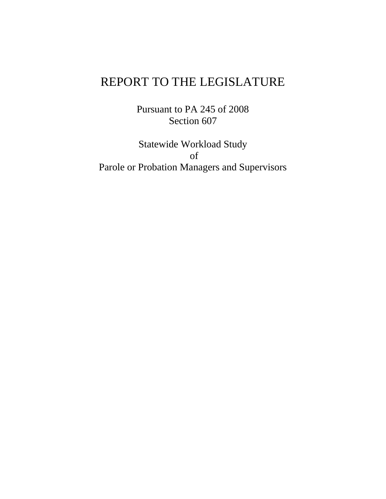# REPORT TO THE LEGISLATURE

Pursuant to PA 245 of 2008 Section 607

Statewide Workload Study of Parole or Probation Managers and Supervisors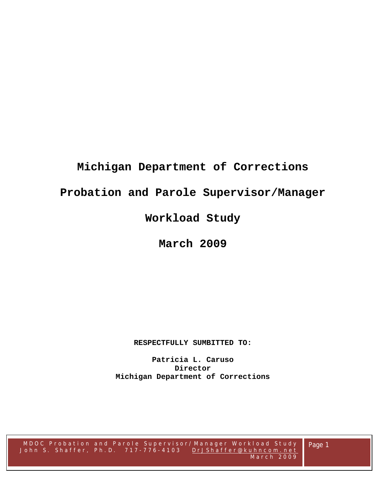# **Michigan Department of Corrections**

# **Probation and Parole Supervisor/Manager**

# **Workload Study**

**March 2009** 

**RESPECTFULLY SUMBITTED TO:** 

**Patricia L. Caruso Director Michigan Department of Corrections** 

Page 1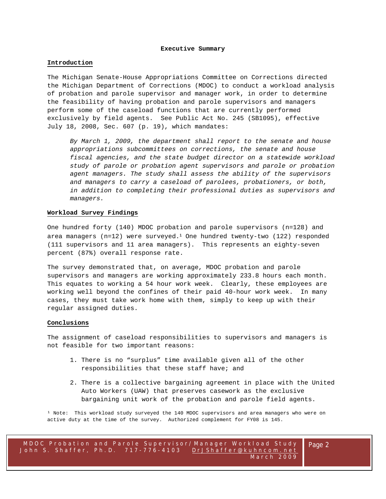#### **Executive Summary**

#### **Introduction**

The Michigan Senate-House Appropriations Committee on Corrections directed the Michigan Department of Corrections (MDOC) to conduct a workload analysis of probation and parole supervisor and manager work, in order to determine the feasibility of having probation and parole supervisors and managers perform some of the caseload functions that are currently performed exclusively by field agents. See Public Act No. 245 (SB1095), effective July 18, 2008, Sec. 607 (p. 19), which mandates:

*By March 1, 2009, the department shall report to the senate and house appropriations subcommittees on corrections, the senate and house fiscal agencies, and the state budget director on a statewide workload study of parole or probation agent supervisors and parole or probation agent managers. The study shall assess the ability of the supervisors and managers to carry a caseload of parolees, probationers, or both, in addition to completing their professional duties as supervisors and managers.* 

#### **Workload Survey Findings**

One hundred forty (140) MDOC probation and parole supervisors (n=128) and area managers  $(n=12)$  were surveyed.<sup>1</sup> One hundred twenty-two (122) responded (111 supervisors and 11 area managers). This represents an eighty-seven percent (87%) overall response rate.

The survey demonstrated that, on average, MDOC probation and parole supervisors and managers are working approximately 233.8 hours each month. This equates to working a 54 hour work week. Clearly, these employees are working well beyond the confines of their paid 40-hour work week. In many cases, they must take work home with them, simply to keep up with their regular assigned duties.

# **Conclusions**

The assignment of caseload responsibilities to supervisors and managers is not feasible for two important reasons:

- 1. There is no "surplus" time available given all of the other responsibilities that these staff have; and
- 2. There is a collective bargaining agreement in place with the United Auto Workers (UAW) that preserves casework as the exclusive bargaining unit work of the probation and parole field agents.

<sup>1</sup> Note: This workload study surveyed the 140 MDOC supervisors and area managers who were on active duty at the time of the survey. Authorized complement for FY08 is 145.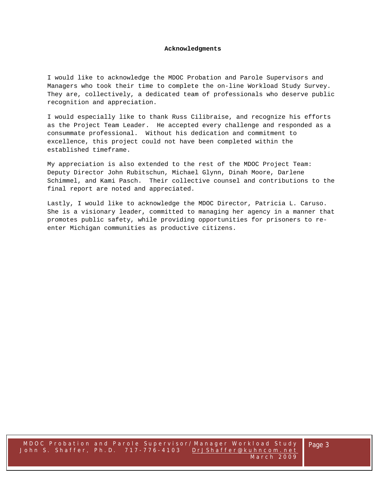#### **Acknowledgments**

I would like to acknowledge the MDOC Probation and Parole Supervisors and Managers who took their time to complete the on-line Workload Study Survey. They are, collectively, a dedicated team of professionals who deserve public recognition and appreciation.

I would especially like to thank Russ Cilibraise, and recognize his efforts as the Project Team Leader. He accepted every challenge and responded as a consummate professional. Without his dedication and commitment to excellence, this project could not have been completed within the established timeframe.

My appreciation is also extended to the rest of the MDOC Project Team: Deputy Director John Rubitschun, Michael Glynn, Dinah Moore, Darlene Schimmel, and Kami Pasch. Their collective counsel and contributions to the final report are noted and appreciated.

Lastly, I would like to acknowledge the MDOC Director, Patricia L. Caruso. She is a visionary leader, committed to managing her agency in a manner that promotes public safety, while providing opportunities for prisoners to reenter Michigan communities as productive citizens.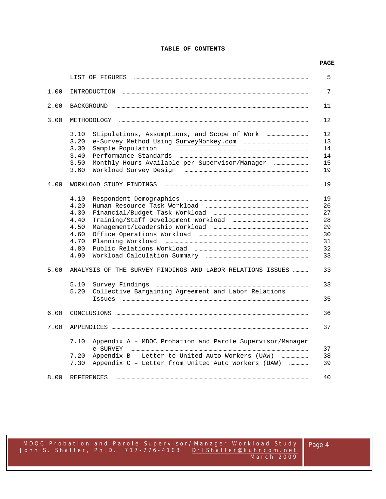# **TABLE OF CONTENTS**

# **PAGE**

|      | LIST OF FIGURES                                                                                                                                     | 5                                                  |
|------|-----------------------------------------------------------------------------------------------------------------------------------------------------|----------------------------------------------------|
| 1.00 | INTRODUCTION                                                                                                                                        | 7                                                  |
| 2.00 | BACKGROUND                                                                                                                                          | 11                                                 |
| 3.00 | METHODOLOGY                                                                                                                                         | 12                                                 |
|      | 3.10<br>3.20<br>3.30<br>3.40<br>3.50<br>Monthly Hours Available per Supervisor/Manager<br>3.60                                                      | 12<br>13<br>14<br>14<br>15<br>19                   |
| 4.00 | WORKLOAD STUDY FINDINGS                                                                                                                             | 19                                                 |
|      | 4.10<br>4.20<br>4.30<br>4.40<br>4.50<br>4.60<br>4.70<br>4.80<br>4.90                                                                                | 19<br>26<br>27<br>28<br>29<br>30<br>31<br>32<br>33 |
| 5.00 | ANALYSIS OF THE SURVEY FINDINGS AND LABOR RELATIONS ISSUES                                                                                          | 33                                                 |
|      | 5.10<br>5.20<br>Collective Bargaining Agreement and Labor Relations<br><b>Tssues</b>                                                                | 33<br>35                                           |
| 6.00 |                                                                                                                                                     | 36                                                 |
| 7.00 |                                                                                                                                                     | 37                                                 |
|      | 7.10<br>Appendix A - MDOC Probation and Parole Supervisor/Manager<br>e-SURVEY<br>7.20<br>Appendix C - Letter from United Auto Workers (UAW)<br>7.30 | 37<br>38<br>39                                     |
| 8.00 | REFERENCES                                                                                                                                          | 40                                                 |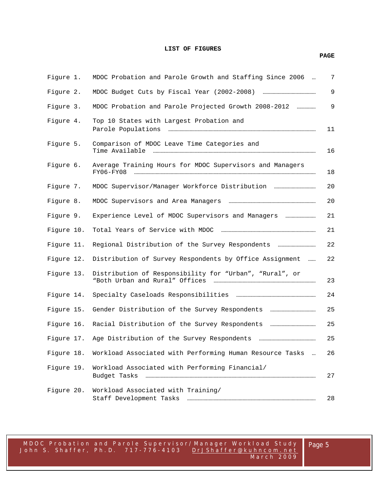#### **LIST OF FIGURES**

# Figure 1. MDOC Probation and Parole Growth and Staffing Since 2006 … 7 Figure 2.MDOC Budget Cuts by Fiscal Year (2002-2008) …………………………………… 9 Figure 3. MDOC Probation and Parole Projected Growth 2008-2012 …………… 9 Figure 4. Top 10 States with Largest Probation and Parole Populations ……………………………………………………………………………………………………… 11 Figure 5. Comparison of MDOC Leave Time Categories and Time Available ………………………………………………………………………………………………………………… 16 Figure 6. Average Training Hours for MDOC Supervisors and Managers FY06-FY08 ……………………………………………………………………………………………………………………………… 18 Figure 7. MDOC Supervisor/Manager Workforce Distribution …………………………… 20 Figure 8. MDOC Supervisors and Area Managers …………………………………………………………… 20 Figure 9. Experience Level of MDOC Supervisors and Managers …………………… 21 Figure 10. Total Years of Service with MDOC ………………………………………………………………… 21 Figure 11. Regional Distribution of the Survey Respondents ………………………… 22 Figure 12. Distribution of Survey Respondents by Office Assignment …… 22 Figure 13. Distribution of Responsibility for "Urban", "Rural", or "Both Urban and Rural" Offices ……………………………………………………………………… 23 Figure 14. Specialty Caseloads Responsibilities ……………………………………………………… 24 Figure 15. Gender Distribution of the Survey Respondents ……………………………… 25 Figure 16. Racial Distribution of the Survey Respondents ……………………………… 25 Figure 17. Age Distribution of the Survey Respondents ……………………………………… 25 Figure 18. Workload Associated with Performing Human Resource Tasks … 26 Figure 19. Workload Associated with Performing Financial/ Budget Tasks ……………………………………………………………………………………………………………………… 27 Figure 20. Workload Associated with Training/ Staff Development Tasks ………………………………………………………………………………………… 28

MDOC Probation and Parole Supe rvisor/Manager Workload Study John S. Shaffer, Ph.D. 717-776-4103 DrJShaffer@kuhncom.net March 2009 **PAGE**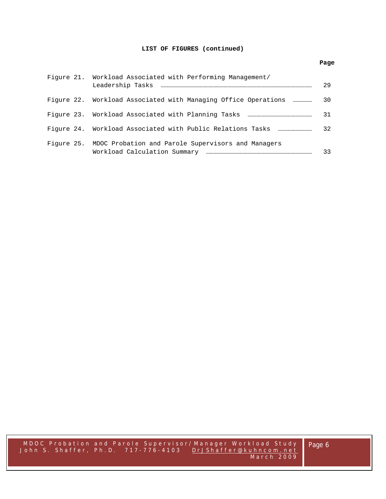# **LIST OF FIGURES (continued)**

|  | Figure 21. Workload Associated with Performing Management/     | 29 |
|--|----------------------------------------------------------------|----|
|  | Figure 22. Workload Associated with Managing Office Operations | 30 |
|  |                                                                | 31 |
|  |                                                                | 32 |
|  | Figure 25. MDOC Probation and Parole Supervisors and Managers  | 33 |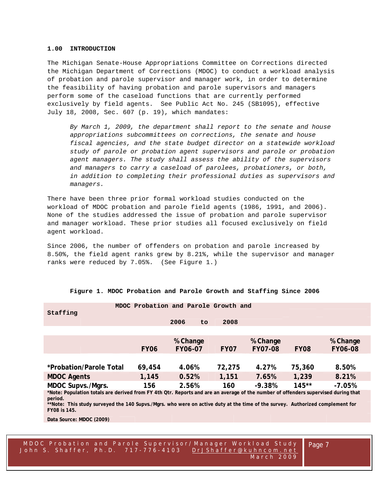#### **1.00 INTRODUCTION**

The Michigan Senate-House Appropriations Committee on Corrections directed the Michigan Department of Corrections (MDOC) to conduct a workload analysis of probation and parole supervisor and manager work, in order to determine the feasibility of having probation and parole supervisors and managers perform some of the caseload functions that are currently performed exclusively by field agents. See Public Act No. 245 (SB1095), effective July 18, 2008, Sec. 607 (p. 19), which mandates:

*By March 1, 2009, the department shall report to the senate and house appropriations subcommittees on corrections, the senate and house fiscal agencies, and the state budget director on a statewide workload study of parole or probation agent supervisors and parole or probation agent managers. The study shall assess the ability of the supervisors and managers to carry a caseload of parolees, probationers, or both, in addition to completing their professional duties as supervisors and managers.* 

There have been three prior formal workload studies conducted on the workload of MDOC probation and parole field agents (1986, 1991, and 2006). None of the studies addressed the issue of probation and parole supervisor and manager workload. These prior studies all focused exclusively on field agent workload.

Since 2006, the number of offenders on probation and parole increased by 8.50%, the field agent ranks grew by 8.21%, while the supervisor and manager ranks were reduced by 7.05%. (See Figure 1.)

|                                                                                                                                          |             | MDOC Probation and Parole Growth and |        |                |             |                |
|------------------------------------------------------------------------------------------------------------------------------------------|-------------|--------------------------------------|--------|----------------|-------------|----------------|
| Staffing                                                                                                                                 |             |                                      |        |                |             |                |
|                                                                                                                                          |             | 2006<br>to                           | 2008   |                |             |                |
|                                                                                                                                          |             |                                      |        |                |             |                |
|                                                                                                                                          |             | % Change                             |        | % Change       |             | % Change       |
|                                                                                                                                          | <b>FY06</b> | <b>FY06-07</b>                       | FY07   | <b>FY07-08</b> | <b>FY08</b> | <b>FY06-08</b> |
|                                                                                                                                          |             |                                      |        |                |             |                |
| *Probation/Parole Total                                                                                                                  | 69,454      | 4.06%                                | 72,275 | 4.27%          | 75,360      | 8.50%          |
| <b>MDOC Agents</b>                                                                                                                       | 1,145       | 0.52%                                | 1,151  | 7.65%          | 1,239       | 8.21%          |
| MDOC Supvs./Mgrs.                                                                                                                        | 156         | 2.56%                                | 160    | $-9.38%$       | $145**$     | $-7.05%$       |
| *Note: Population totals are derived from FY 4th Qtr. Reports and are an average of the number of offenders supervised during that       |             |                                      |        |                |             |                |
| period.<br>**Note: This study surveyed the 140 Supvs./Mgrs. who were on active duty at the time of the survey. Authorized complement for |             |                                      |        |                |             |                |
| FY08 is 145.                                                                                                                             |             |                                      |        |                |             |                |

#### **Figure 1. MDOC Probation and Parole Growth and Staffing Since 2006**

**Data Source: MDOC (2009)** 

MDOC Probation and Parole Supe rvisor/Manager Workload Study John S. Shaffer, Ph.D. 717-776-4103 DrJShaffer@kuhncom.net March 2009

Page 7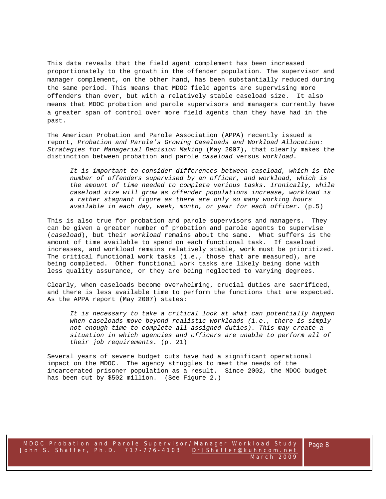This data reveals that the field agent complement has been increased proportionately to the growth in the offender population. The supervisor and manager complement, on the other hand, has been substantially reduced during the same period. This means that MDOC field agents are supervising more offenders than ever, but with a relatively stable caseload size. It also means that MDOC probation and parole supervisors and managers currently have a greater span of control over more field agents than they have had in the past.

The American Probation and Parole Association (APPA) recently issued a report, *Probation and Parole's Growing Caseloads and Workload Allocation: Strategies for Managerial Decision Making* (May 2007), that clearly makes the distinction between probation and parole *caseload* versus *workload*.

*It is important to consider differences between caseload, which is the number of offenders supervised by an officer, and workload, which is the amount of time needed to complete various tasks. Ironically, while caseload size will grow as offender populations increase, workload is a rather stagnant figure as there are only so many working hours available in each day, week, month, or year for each officer.* (p.5)

This is also true for probation and parole supervisors and managers. They can be given a greater number of probation and parole agents to supervise (*caseload*), but their *workload* remains about the same. What suffers is the amount of time available to spend on each functional task. If caseload increases, and workload remains relatively stable, work must be prioritized. The critical functional work tasks (i.e., those that are measured), are being completed. Other functional work tasks are likely being done with less quality assurance, or they are being neglected to varying degrees.

Clearly, when caseloads become overwhelming, crucial duties are sacrificed, and there is less available time to perform the functions that are expected. As the APPA report (May 2007) states:

*It is necessary to take a critical look at what can potentially happen when caseloads move beyond realistic workloads (i.e., there is simply not enough time to complete all assigned duties). This may create a situation in which agencies and officers are unable to perform all of their job requirements.* (p. 21)

Several years of severe budget cuts have had a significant operational impact on the MDOC. The agency struggles to meet the needs of the incarcerated prisoner population as a result. Since 2002, the MDOC budget has been cut by \$502 million. (See Figure 2.)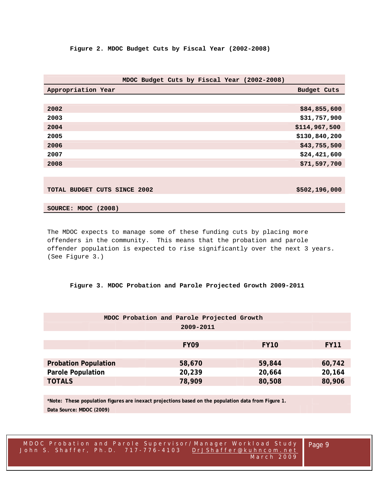|                              | MDOC Budget Cuts by Fiscal Year (2002-2008) |                    |
|------------------------------|---------------------------------------------|--------------------|
| Appropriation Year           |                                             | <b>Budget Cuts</b> |
|                              |                                             |                    |
| 2002                         |                                             | \$84,855,600       |
| 2003                         |                                             | \$31,757,900       |
| 2004                         |                                             | \$114,967,500      |
| 2005                         |                                             | \$130,840,200      |
| 2006                         |                                             | \$43,755,500       |
| 2007                         |                                             | \$24,421,600       |
| 2008                         |                                             | \$71,597,700       |
|                              |                                             |                    |
|                              |                                             |                    |
| TOTAL BUDGET CUTS SINCE 2002 |                                             | \$502,196,000      |

# **SOURCE: MDOC (2008)**

The MDOC expects to manage some of these funding cuts by placing more offenders in the community. This means that the probation and parole offender population is expected to rise significantly over the next 3 years. (See Figure 3.)

# **Figure 3. MDOC Probation and Parole Projected Growth 2009-2011**

| MDOC Probation and Parole Projected Growth<br>2009-2011 |                  |             |             |  |  |  |  |
|---------------------------------------------------------|------------------|-------------|-------------|--|--|--|--|
|                                                         | FY <sub>09</sub> | <b>FY10</b> | <b>FY11</b> |  |  |  |  |
| <b>Probation Population</b>                             | 58,670           | 59,844      | 60,742      |  |  |  |  |
| <b>Parole Population</b>                                | 20,239           | 20,664      | 20,164      |  |  |  |  |
| <b>TOTALS</b>                                           | 78,909           | 80,508      | 80,906      |  |  |  |  |

**\*Note: These population figures are inexact projections based on the population data from Figure 1. Data Source: MDOC (2009)** 

Page 9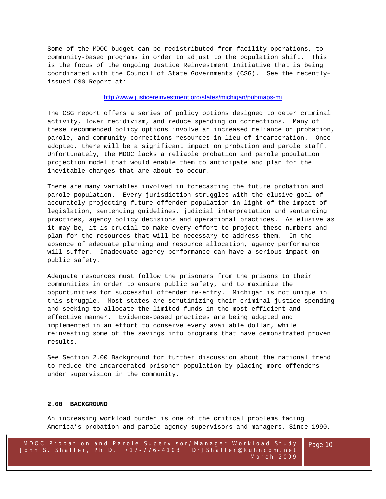Some of the MDOC budget can be redistributed from facility operations, to community-based programs in order to adjust to the population shift. This is the focus of the ongoing Justice Reinvestment Initiative that is being coordinated with the Council of State Governments (CSG). See the recently– issued CSG Report at:

# http://www.justicereinvestment.org/states/michigan/pubmaps-mi

The CSG report offers a series of policy options designed to deter criminal activity, lower recidivism, and reduce spending on corrections. Many of these recommended policy options involve an increased reliance on probation, parole, and community corrections resources in lieu of incarceration. Once adopted, there will be a significant impact on probation and parole staff. Unfortunately, the MDOC lacks a reliable probation and parole population projection model that would enable them to anticipate and plan for the inevitable changes that are about to occur.

There are many variables involved in forecasting the future probation and parole population. Every jurisdiction struggles with the elusive goal of accurately projecting future offender population in light of the impact of legislation, sentencing guidelines, judicial interpretation and sentencing practices, agency policy decisions and operational practices. As elusive as it may be, it is crucial to make every effort to project these numbers and plan for the resources that will be necessary to address them. In the absence of adequate planning and resource allocation, agency performance will suffer. Inadequate agency performance can have a serious impact on public safety.

Adequate resources must follow the prisoners from the prisons to their communities in order to ensure public safety, and to maximize the opportunities for successful offender re-entry. Michigan is not unique in this struggle. Most states are scrutinizing their criminal justice spending and seeking to allocate the limited funds in the most efficient and effective manner. Evidence-based practices are being adopted and implemented in an effort to conserve every available dollar, while reinvesting some of the savings into programs that have demonstrated proven results.

See Section 2.00 Background for further discussion about the national trend to reduce the incarcerated prisoner population by placing more offenders under supervision in the community.

#### **2.00 BACKGROUND**

An increasing workload burden is one of the critical problems facing America's probation and parole agency supervisors and managers. Since 1990,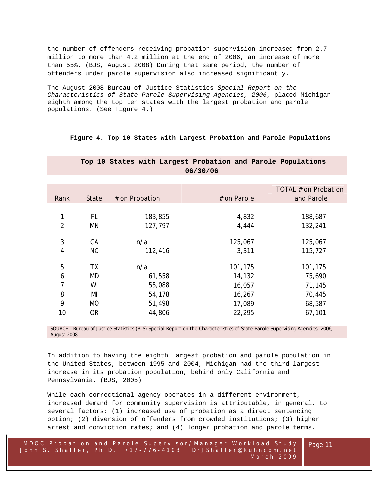the number of offenders receiving probation supervision increased from 2.7 million to more than 4.2 million at the end of 2006, an increase of more than 55%. (BJS, August 2008) During that same period, the number of offenders under parole supervision also increased significantly.

The August 2008 Bureau of Justice Statistics *Special Report on the Characteristics of State Parole Supervising Agencies, 2006*, placed Michigan eighth among the top ten states with the largest probation and parole populations. (See Figure 4.)

**Figure 4. Top 10 States with Largest Probation and Parole Populations**

|                |              |                |             | TOTAL # on Probation |
|----------------|--------------|----------------|-------------|----------------------|
| Rank           | <b>State</b> | # on Probation | # on Parole | and Parole           |
|                |              |                |             |                      |
| 1              | FL           | 183,855        | 4,832       | 188,687              |
| $\overline{2}$ | MN           | 127,797        | 4,444       | 132,241              |
|                |              |                |             |                      |
| 3              | <b>CA</b>    | n/a            | 125,067     | 125,067              |
| 4              | <b>NC</b>    | 112,416        | 3,311       | 115,727              |
|                |              |                |             |                      |
| 5              | <b>TX</b>    | n/a            | 101,175     | 101,175              |
| 6              | MD           | 61,558         | 14,132      | 75,690               |
| 7              | WI           | 55,088         | 16,057      | 71,145               |
| 8              | MI           | 54,178         | 16,267      | 70,445               |
| 9              | <b>MO</b>    | 51,498         | 17,089      | 68,587               |
| 10             | <b>OR</b>    | 44,806         | 22,295      | 67,101               |
|                |              |                |             |                      |

 **Top 10 States with Largest Probation and Parole Populations 06/30/06** 

SOURCE: Bureau of Justice Statistics (BJS) Special Report on the *Characteristics of State Parole Supervising Agencies, 2006*, August 2008.

In addition to having the eighth largest probation and parole population in the United States, between 1995 and 2004, Michigan had the third largest increase in its probation population, behind only California and Pennsylvania. (BJS, 2005)

While each correctional agency operates in a different environment, increased demand for community supervision is attributable, in general, to several factors: (1) increased use of probation as a direct sentencing option; (2) diversion of offenders from crowded institutions; (3) higher arrest and conviction rates; and (4) longer probation and parole terms.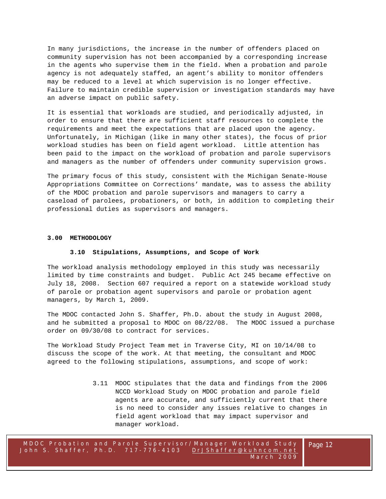In many jurisdictions, the increase in the number of offenders placed on community supervision has not been accompanied by a corresponding increase in the agents who supervise them in the field. When a probation and parole agency is not adequately staffed, an agent's ability to monitor offenders may be reduced to a level at which supervision is no longer effective. Failure to maintain credible supervision or investigation standards may have an adverse impact on public safety.

It is essential that workloads are studied, and periodically adjusted, in order to ensure that there are sufficient staff resources to complete the requirements and meet the expectations that are placed upon the agency. Unfortunately, in Michigan (like in many other states), the focus of prior workload studies has been on field agent workload. Little attention has been paid to the impact on the workload of probation and parole supervisors and managers as the number of offenders under community supervision grows.

The primary focus of this study, consistent with the Michigan Senate-House Appropriations Committee on Corrections' mandate, was to assess the ability of the MDOC probation and parole supervisors and managers to carry a caseload of parolees, probationers, or both, in addition to completing their professional duties as supervisors and managers.

#### **3.00 METHODOLOGY**

#### **3.10 Stipulations, Assumptions, and Scope of Work**

The workload analysis methodology employed in this study was necessarily limited by time constraints and budget. Public Act 245 became effective on July 18, 2008. Section 607 required a report on a statewide workload study of parole or probation agent supervisors and parole or probation agent managers, by March 1, 2009.

The MDOC contacted John S. Shaffer, Ph.D. about the study in August 2008, and he submitted a proposal to MDOC on 08/22/08. The MDOC issued a purchase order on 09/30/08 to contract for services.

The Workload Study Project Team met in Traverse City, MI on 10/14/08 to discuss the scope of the work. At that meeting, the consultant and MDOC agreed to the following stipulations, assumptions, and scope of work:

> 3.11 MDOC stipulates that the data and findings from the 2006 NCCD Workload Study on MDOC probation and parole field agents are accurate, and sufficiently current that there is no need to consider any issues relative to changes in field agent workload that may impact supervisor and manager workload.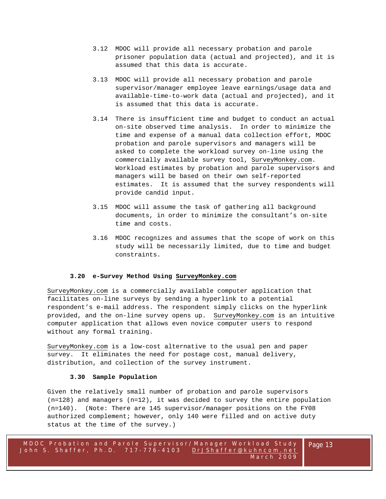- 3.12 MDOC will provide all necessary probation and parole prisoner population data (actual and projected), and it is assumed that this data is accurate.
- 3.13 MDOC will provide all necessary probation and parole supervisor/manager employee leave earnings/usage data and available-time-to-work data (actual and projected), and it is assumed that this data is accurate.
- 3.14 There is insufficient time and budget to conduct an actual on-site observed time analysis. In order to minimize the time and expense of a manual data collection effort, MDOC probation and parole supervisors and managers will be asked to complete the workload survey on-line using the commercially available survey tool, SurveyMonkey.com. Workload estimates by probation and parole supervisors and managers will be based on their own self-reported estimates. It is assumed that the survey respondents will provide candid input.
- 3.15 MDOC will assume the task of gathering all background documents, in order to minimize the consultant's on-site time and costs.
- 3.16 MDOC recognizes and assumes that the scope of work on this study will be necessarily limited, due to time and budget constraints.

#### **3.20 e-Survey Method Using SurveyMonkey.com**

SurveyMonkey.com is a commercially available computer application that facilitates on-line surveys by sending a hyperlink to a potential respondent's e-mail address. The respondent simply clicks on the hyperlink provided, and the on-line survey opens up. SurveyMonkey.com is an intuitive computer application that allows even novice computer users to respond without any formal training.

SurveyMonkey.com is a low-cost alternative to the usual pen and paper survey. It eliminates the need for postage cost, manual delivery, distribution, and collection of the survey instrument.

#### **3.30 Sample Population**

Given the relatively small number of probation and parole supervisors (n=128) and managers (n=12), it was decided to survey the entire population (n=140). (Note: There are 145 supervisor/manager positions on the FY08 authorized complement; however, only 140 were filled and on active duty status at the time of the survey.)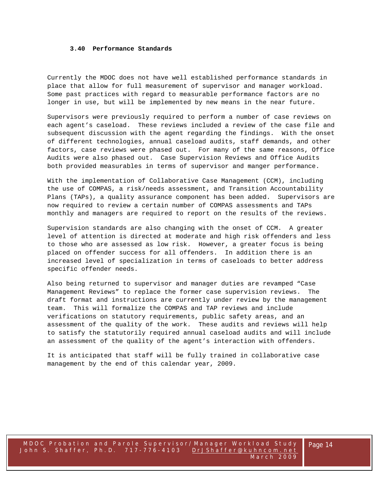#### **3.40 Performance Standards**

Currently the MDOC does not have well established performance standards in place that allow for full measurement of supervisor and manager workload. Some past practices with regard to measurable performance factors are no longer in use, but will be implemented by new means in the near future.

Supervisors were previously required to perform a number of case reviews on each agent's caseload. These reviews included a review of the case file and subsequent discussion with the agent regarding the findings. With the onset of different technologies, annual caseload audits, staff demands, and other factors, case reviews were phased out. For many of the same reasons, Office Audits were also phased out. Case Supervision Reviews and Office Audits both provided measurables in terms of supervisor and manger performance.

With the implementation of Collaborative Case Management (CCM), including the use of COMPAS, a risk/needs assessment, and Transition Accountability Plans (TAPs), a quality assurance component has been added. Supervisors are now required to review a certain number of COMPAS assessments and TAPs monthly and managers are required to report on the results of the reviews.

Supervision standards are also changing with the onset of CCM. A greater level of attention is directed at moderate and high risk offenders and less to those who are assessed as low risk. However, a greater focus is being placed on offender success for all offenders. In addition there is an increased level of specialization in terms of caseloads to better address specific offender needs.

Also being returned to supervisor and manager duties are revamped "Case Management Reviews" to replace the former case supervision reviews. The draft format and instructions are currently under review by the management team. This will formalize the COMPAS and TAP reviews and include verifications on statutory requirements, public safety areas, and an assessment of the quality of the work. These audits and reviews will help to satisfy the statutorily required annual caseload audits and will include an assessment of the quality of the agent's interaction with offenders.

It is anticipated that staff will be fully trained in collaborative case management by the end of this calendar year, 2009.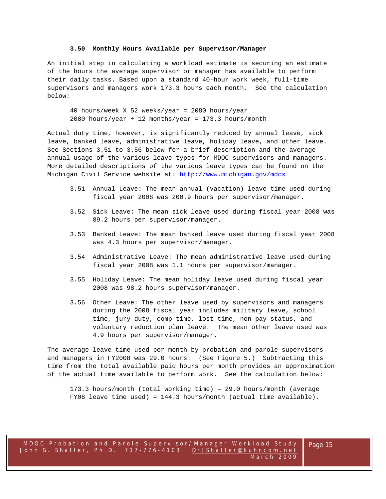#### **3.50 Monthly Hours Available per Supervisor/Manager**

An initial step in calculating a workload estimate is securing an estimate of the hours the average supervisor or manager has available to perform their daily tasks. Based upon a standard 40-hour work week, full-time supervisors and managers work 173.3 hours each month. See the calculation below:

40 hours/week X 52 weeks/year = 2080 hours/year 2080 hours/year  $\div$  12 months/year = 173.3 hours/month

Actual duty time, however, is significantly reduced by annual leave, sick leave, banked leave, administrative leave, holiday leave, and other leave. See Sections 3.51 to 3.56 below for a brief description and the average annual usage of the various leave types for MDOC supervisors and managers. More detailed descriptions of the various leave types can be found on the Michigan Civil Service website at: http://www.michigan.gov/mdcs

- 3.51 Annual Leave: The mean annual (vacation) leave time used during fiscal year 2008 was 200.9 hours per supervisor/manager.
- 3.52 Sick Leave: The mean sick leave used during fiscal year 2008 was 89.2 hours per supervisor/manager.
- 3.53 Banked Leave: The mean banked leave used during fiscal year 2008 was 4.3 hours per supervisor/manager.
- 3.54 Administrative Leave: The mean administrative leave used during fiscal year 2008 was 1.1 hours per supervisor/manager.
- 3.55 Holiday Leave: The mean holiday leave used during fiscal year 2008 was 98.2 hours supervisor/manager.
- 3.56 Other Leave: The other leave used by supervisors and managers during the 2008 fiscal year includes military leave, school time, jury duty, comp time, lost time, non-pay status, and voluntary reduction plan leave. The mean other leave used was 4.9 hours per supervisor/manager.

The average leave time used per month by probation and parole supervisors and managers in FY2008 was 29.0 hours. (See Figure 5.) Subtracting this time from the total available paid hours per month provides an approximation of the actual time available to perform work. See the calculation below:

173.3 hours/month (total working time) – 29.0 hours/month (average FY08 leave time used) = 144.3 hours/month (actual time available).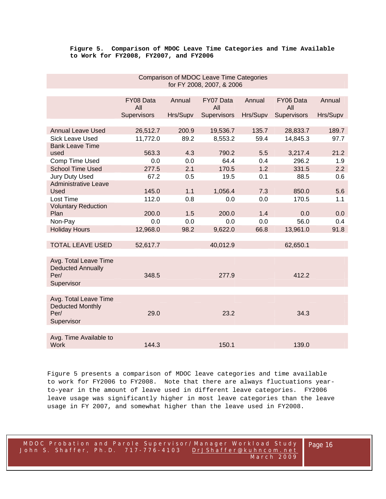# **Figure 5. Comparison of MDOC Leave Time Categories and Time Available to Work for FY2008, FY2007, and FY2006**

|                                                           |                  |          | 101 T LOUD, LUUT, Q LUUU |          |                  |          |
|-----------------------------------------------------------|------------------|----------|--------------------------|----------|------------------|----------|
|                                                           |                  |          |                          |          |                  |          |
|                                                           | FY08 Data<br>All | Annual   | FY07 Data<br>All         | Annual   | FY06 Data<br>All | Annual   |
|                                                           | Supervisors      | Hrs/Supv | Supervisors              | Hrs/Supv | Supervisors      | Hrs/Supv |
|                                                           |                  |          |                          |          |                  |          |
| <b>Annual Leave Used</b>                                  | 26,512.7         | 200.9    | 19,536.7                 | 135.7    | 28,833.7         | 189.7    |
| <b>Sick Leave Used</b>                                    | 11,772.0         | 89.2     | 8,553.2                  | 59.4     | 14,845.3         | 97.7     |
| <b>Bank Leave Time</b>                                    |                  |          |                          |          |                  |          |
| used                                                      | 563.3            | 4.3      | 790.2                    | 5.5      | 3,217.4          | 21.2     |
| Comp Time Used                                            | 0.0              | 0.0      | 64.4                     | 0.4      | 296.2            | 1.9      |
| <b>School Time Used</b>                                   | 277.5            | 2.1      | 170.5                    | 1.2      | 331.5            | 2.2      |
| <b>Jury Duty Used</b>                                     | 67.2             | 0.5      | 19.5                     | 0.1      | 88.5             | 0.6      |
| <b>Administrative Leave</b><br>Used                       | 145.0            | 1.1      | 1,056.4                  | 7.3      | 850.0            | 5.6      |
| Lost Time                                                 | 112.0            | 0.8      | 0.0                      | 0.0      | 170.5            | 1.1      |
| <b>Voluntary Reduction</b>                                |                  |          |                          |          |                  |          |
| Plan                                                      | 200.0            | 1.5      | 200.0                    | 1.4      | 0.0              | 0.0      |
| Non-Pay                                                   | 0.0              | 0.0      | 0.0                      | 0.0      | 56.0             | 0.4      |
| <b>Holiday Hours</b>                                      | 12,968.0         | 98.2     | 9,622.0                  | 66.8     | 13,961.0         | 91.8     |
|                                                           |                  |          |                          |          |                  |          |
| <b>TOTAL LEAVE USED</b>                                   | 52,617.7         |          | 40,012.9                 |          | 62,650.1         |          |
|                                                           |                  |          |                          |          |                  |          |
| Avg. Total Leave Time<br><b>Deducted Annually</b><br>Per/ | 348.5            |          | 277.9                    |          | 412.2            |          |
| Supervisor                                                |                  |          |                          |          |                  |          |
|                                                           |                  |          |                          |          |                  |          |
| Avg. Total Leave Time<br><b>Deducted Monthly</b><br>Per/  | 29.0             |          | 23.2                     |          | 34.3             |          |
| Supervisor                                                |                  |          |                          |          |                  |          |
|                                                           |                  |          |                          |          |                  |          |
| Avg. Time Available to<br><b>Work</b>                     | 144.3            |          | 150.1                    |          | 139.0            |          |
|                                                           |                  |          |                          |          |                  |          |

# Comparison of MDOC Leave Time Categories for FY 2008, 2007, & 2006

Figure 5 presents a comparison of MDOC leave categories and time available to work for FY2006 to FY2008. Note that there are always fluctuations yearto-year in the amount of leave used in different leave categories. FY2006 leave usage was significantly higher in most leave categories than the leave usage in FY 2007, and somewhat higher than the leave used in FY2008.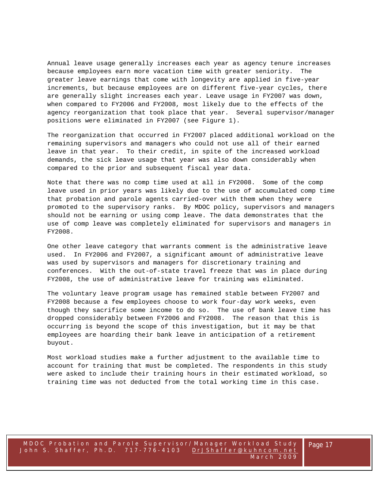Annual leave usage generally increases each year as agency tenure increases because employees earn more vacation time with greater seniority. The greater leave earnings that come with longevity are applied in five-year increments, but because employees are on different five-year cycles, there are generally slight increases each year. Leave usage in FY2007 was down, when compared to FY2006 and FY2008, most likely due to the effects of the agency reorganization that took place that year. Several supervisor/manager positions were eliminated in FY2007 (see Figure 1).

The reorganization that occurred in FY2007 placed additional workload on the remaining supervisors and managers who could not use all of their earned leave in that year. To their credit, in spite of the increased workload demands, the sick leave usage that year was also down considerably when compared to the prior and subsequent fiscal year data.

Note that there was no comp time used at all in FY2008. Some of the comp leave used in prior years was likely due to the use of accumulated comp time that probation and parole agents carried-over with them when they were promoted to the supervisory ranks. By MDOC policy, supervisors and managers should not be earning or using comp leave. The data demonstrates that the use of comp leave was completely eliminated for supervisors and managers in FY2008.

One other leave category that warrants comment is the administrative leave used. In FY2006 and FY2007, a significant amount of administrative leave was used by supervisors and managers for discretionary training and conferences. With the out-of-state travel freeze that was in place during FY2008, the use of administrative leave for training was eliminated.

The voluntary leave program usage has remained stable between FY2007 and FY2008 because a few employees choose to work four-day work weeks, even though they sacrifice some income to do so. The use of bank leave time has dropped considerably between FY2006 and FY2008. The reason that this is occurring is beyond the scope of this investigation, but it may be that employees are hoarding their bank leave in anticipation of a retirement buyout.

Most workload studies make a further adjustment to the available time to account for training that must be completed. The respondents in this study were asked to include their training hours in their estimated workload, so training time was not deducted from the total working time in this case.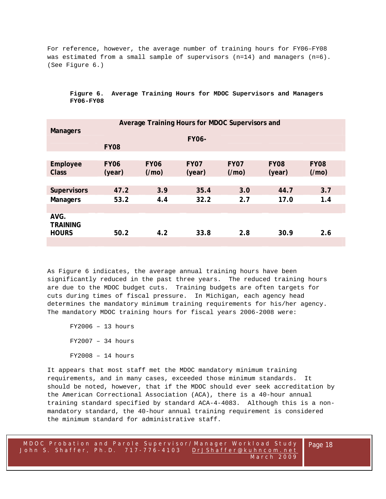For reference, however, the average number of training hours for FY06–FY08 was estimated from a small sample of supervisors (n=14) and managers (n=6). (See Figure 6.)

| Average Training Hours for MDOC Supervisors and<br><b>Managers</b> |                             |                      |                       |                     |                       |                      |  |  |  |
|--------------------------------------------------------------------|-----------------------------|----------------------|-----------------------|---------------------|-----------------------|----------------------|--|--|--|
|                                                                    | <b>FY06-</b><br><b>FY08</b> |                      |                       |                     |                       |                      |  |  |  |
|                                                                    |                             |                      |                       |                     |                       |                      |  |  |  |
| Employee<br><b>Class</b>                                           | <b>FY06</b><br>(year)       | <b>FY06</b><br>(/mo) | <b>FY07</b><br>(year) | <b>FY07</b><br>(Mm) | <b>FY08</b><br>(year) | <b>FY08</b><br>(/mo) |  |  |  |
|                                                                    |                             |                      |                       |                     |                       |                      |  |  |  |
| <b>Supervisors</b>                                                 | 47.2                        | 3.9                  | 35.4                  | 3.0                 | 44.7                  | 3.7                  |  |  |  |
| <b>Managers</b>                                                    | 53.2                        | 4.4                  | 32.2                  | 2.7                 | 17.0                  | 1.4                  |  |  |  |
|                                                                    |                             |                      |                       |                     |                       |                      |  |  |  |
| AVG.<br><b>TRAINING</b><br><b>HOURS</b>                            | 50.2                        | 4.2                  | 33.8                  | 2.8                 | 30.9                  | 2.6                  |  |  |  |
|                                                                    |                             |                      |                       |                     |                       |                      |  |  |  |

**Figure 6. Average Training Hours for MDOC Supervisors and Managers FY06-FY08** 

As Figure 6 indicates, the average annual training hours have been significantly reduced in the past three years. The reduced training hours are due to the MDOC budget cuts. Training budgets are often targets for cuts during times of fiscal pressure. In Michigan, each agency head determines the mandatory minimum training requirements for his/her agency. The mandatory MDOC training hours for fiscal years 2006-2008 were:

FY2006 – 13 hours FY2007 – 34 hours FY2008 – 14 hours

It appears that most staff met the MDOC mandatory minimum training requirements, and in many cases, exceeded those minimum standards. It should be noted, however, that if the MDOC should ever seek accreditation by the American Correctional Association (ACA), there is a 40-hour annual training standard specified by standard ACA-4-4083. Although this is a nonmandatory standard, the 40-hour annual training requirement is considered the minimum standard for administrative staff.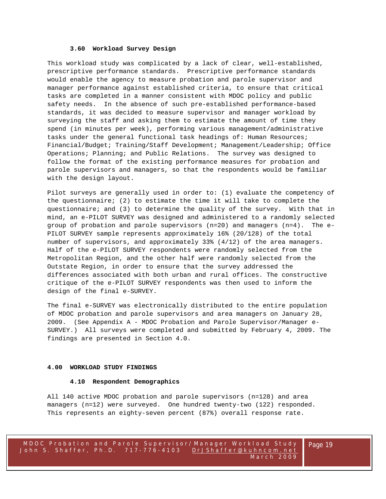#### **3.60 Workload Survey Design**

This workload study was complicated by a lack of clear, well-established, prescriptive performance standards. Prescriptive performance standards would enable the agency to measure probation and parole supervisor and manager performance against established criteria, to ensure that critical tasks are completed in a manner consistent with MDOC policy and public safety needs. In the absence of such pre-established performance-based standards, it was decided to measure supervisor and manager workload by surveying the staff and asking them to estimate the amount of time they spend (in minutes per week), performing various management/administrative tasks under the general functional task headings of: Human Resources; Financial/Budget; Training/Staff Development; Management/Leadership; Office Operations; Planning; and Public Relations. The survey was designed to follow the format of the existing performance measures for probation and parole supervisors and managers, so that the respondents would be familiar with the design layout.

Pilot surveys are generally used in order to: (1) evaluate the competency of the questionnaire; (2) to estimate the time it will take to complete the questionnaire; and (3) to determine the quality of the survey. With that in mind, an e-PILOT SURVEY was designed and administered to a randomly selected group of probation and parole supervisors (n=20) and managers (n=4). The e-PILOT SURVEY sample represents approximately 16% (20/128) of the total number of supervisors, and approximately 33% (4/12) of the area managers. Half of the e-PILOT SURVEY respondents were randomly selected from the Metropolitan Region, and the other half were randomly selected from the Outstate Region, in order to ensure that the survey addressed the differences associated with both urban and rural offices. The constructive critique of the e-PILOT SURVEY respondents was then used to inform the design of the final e-SURVEY.

The final e-SURVEY was electronically distributed to the entire population of MDOC probation and parole supervisors and area managers on January 28, 2009. (See Appendix A - MDOC Probation and Parole Supervisor/Manager e-SURVEY.) All surveys were completed and submitted by February 4, 2009. The findings are presented in Section 4.0.

#### **4.00 WORKLOAD STUDY FINDINGS**

#### **4.10 Respondent Demographics**

All 140 active MDOC probation and parole supervisors (n=128) and area managers (n=12) were surveyed. One hundred twenty-two (122) responded. This represents an eighty-seven percent (87%) overall response rate.

Page 19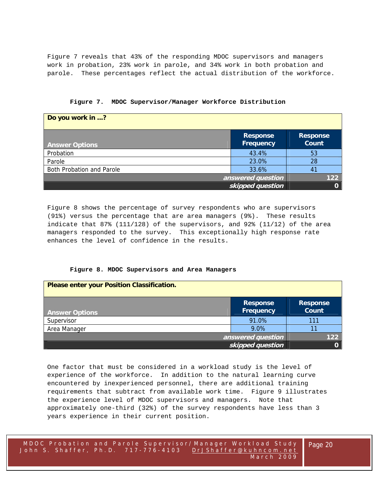Figure 7 reveals that 43% of the responding MDOC supervisors and managers work in probation, 23% work in parole, and 34% work in both probation and parole. These percentages reflect the actual distribution of the workforce.

| Do you work in ?          |                                     |                                 |
|---------------------------|-------------------------------------|---------------------------------|
| <b>Answer Options</b>     | <b>Response</b><br><b>Frequency</b> | <b>Response</b><br><b>Count</b> |
| Probation                 | 43.4%                               | 53                              |
| Parole                    | 23.0%                               | 28                              |
| Both Probation and Parole | 33.6%                               | 4 <sup>1</sup>                  |
|                           | answered question                   | 122                             |
|                           | skipped question                    |                                 |

**Figure 7. MDOC Supervisor/Manager Workforce Distribution** 

Figure 8 shows the percentage of survey respondents who are supervisors (91%) versus the percentage that are area managers (9%). These results indicate that 87% (111/128) of the supervisors, and 92% (11/12) of the area managers responded to the survey. This exceptionally high response rate enhances the level of confidence in the results.

#### **Figure 8. MDOC Supervisors and Area Managers**

| <b>Please enter your Position Classification.</b> |                                     |                                 |
|---------------------------------------------------|-------------------------------------|---------------------------------|
| <b>Answer Options</b>                             | <b>Response</b><br><b>Frequency</b> | <b>Response</b><br><b>Count</b> |
| Supervisor                                        | 91.0%                               | 111                             |
| Area Manager                                      | 9.0%                                |                                 |
|                                                   | answered question                   | 122                             |
|                                                   | skipped question                    |                                 |

One factor that must be considered in a workload study is the level of experience of the workforce. In addition to the natural learning curve encountered by inexperienced personnel, there are additional training requirements that subtract from available work time. Figure 9 illustrates the experience level of MDOC supervisors and managers. Note that approximately one-third (32%) of the survey respondents have less than 3 years experience in their current position.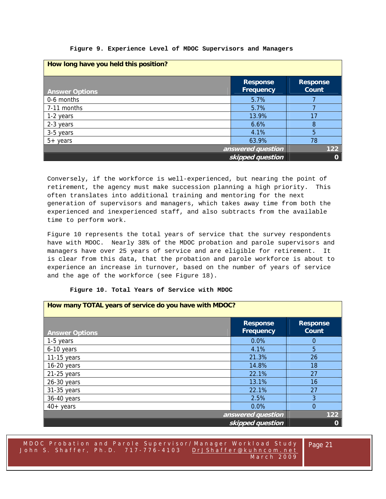|  |  |  |  |  |  | Figure 9. Experience Level of MDOC Supervisors and Managers |  |  |
|--|--|--|--|--|--|-------------------------------------------------------------|--|--|
|--|--|--|--|--|--|-------------------------------------------------------------|--|--|

| How long have you held this position? |                                     |                          |  |  |  |  |
|---------------------------------------|-------------------------------------|--------------------------|--|--|--|--|
| <b>Answer Options</b>                 | <b>Response</b><br><b>Frequency</b> | <b>Response</b><br>Count |  |  |  |  |
| 0-6 months                            | 5.7%                                |                          |  |  |  |  |
| 7-11 months                           | 5.7%                                |                          |  |  |  |  |
| 1-2 years                             | 13.9%                               |                          |  |  |  |  |
| 2-3 years                             | 6.6%                                | 8                        |  |  |  |  |
| 3-5 years                             | 4.1%                                | 5                        |  |  |  |  |
| $5+$ years                            | 63.9%                               | 78                       |  |  |  |  |
|                                       | answered question                   | 122                      |  |  |  |  |
|                                       | skipped question                    | $\mathbf 0$              |  |  |  |  |

Conversely, if the workforce is well-experienced, but nearing the point of retirement, the agency must make succession planning a high priority. This often translates into additional training and mentoring for the next generation of supervisors and managers, which takes away time from both the experienced and inexperienced staff, and also subtracts from the available time to perform work.

Figure 10 represents the total years of service that the survey respondents have with MDOC. Nearly 38% of the MDOC probation and parole supervisors and managers have over 25 years of service and are eligible for retirement. It is clear from this data, that the probation and parole workforce is about to experience an increase in turnover, based on the number of years of service and the age of the workforce (see Figure 18).

# **Figure 10. Total Years of Service with MDOC**

| How many TOTAL years of service do you have with MDOC? |                                     |                          |
|--------------------------------------------------------|-------------------------------------|--------------------------|
| <b>Answer Options</b>                                  | <b>Response</b><br><b>Frequency</b> | <b>Response</b><br>Count |
| 1-5 years                                              | 0.0%                                | 0                        |
| 6-10 years                                             | 4.1%                                | 5                        |
| $11-15$ years                                          | 21.3%                               | 26                       |
| $16-20$ years                                          | 14.8%                               | 18                       |
| $21-25$ years                                          | 22.1%                               | 27                       |
| $26-30$ years                                          | 13.1%                               | 16                       |
| 31-35 years                                            | 22.1%                               | 27                       |
| 36-40 years                                            | 2.5%                                | 3                        |
| $40+$ years                                            | 0.0%                                | $\Omega$                 |
|                                                        | answered question                   | 122                      |
|                                                        | skipped question                    | 0                        |

MDOC Probation and Parole Supe rvisor/Manager Workload Study John S. Shaffer, Ph.D. 717-776-4103 DrJShaffer@kuhncom.net March 2009

Page 21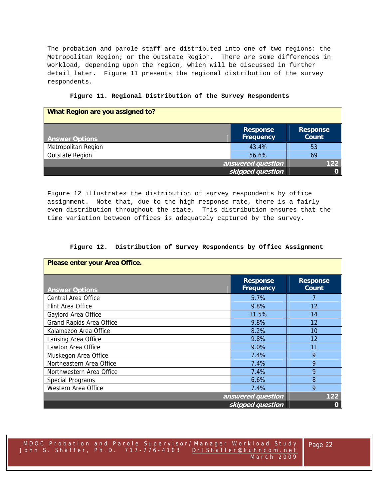The probation and parole staff are distributed into one of two regions: the Metropolitan Region; or the Outstate Region. There are some differences in workload, depending upon the region, which will be discussed in further detail later. Figure 11 presents the regional distribution of the survey respondents.

| What Region are you assigned to? |                              |                                 |
|----------------------------------|------------------------------|---------------------------------|
| <b>Answer Options</b>            | <b>Response</b><br>Frequency | <b>Response</b><br><b>Count</b> |
| Metropolitan Region              | 43.4%                        | 53                              |
| <b>Outstate Region</b>           | 56.6%                        | 69                              |
|                                  | answered question            | 122                             |
|                                  | skipped question             |                                 |

| Figure 11. Regional Distribution of the Survey Respondents |  |  |  |  |
|------------------------------------------------------------|--|--|--|--|
|------------------------------------------------------------|--|--|--|--|

Figure 12 illustrates the distribution of survey respondents by office assignment. Note that, due to the high response rate, there is a fairly even distribution throughout the state. This distribution ensures that the time variation between offices is adequately captured by the survey.

|  | Figure 12. Distribution of Survey Respondents by Office Assignment |  |  |  |  |  |  |
|--|--------------------------------------------------------------------|--|--|--|--|--|--|
|--|--------------------------------------------------------------------|--|--|--|--|--|--|

| Please enter your Area Office. |                              |                          |
|--------------------------------|------------------------------|--------------------------|
| <b>Answer Options</b>          | <b>Response</b><br>Frequency | <b>Response</b><br>Count |
| Central Area Office            | 5.7%                         |                          |
| Flint Area Office              | 9.8%                         | 12                       |
| Gaylord Area Office            | 11.5%                        | 14                       |
| Grand Rapids Area Office       | 9.8%                         | 12                       |
| Kalamazoo Area Office          | 8.2%                         | 10                       |
| Lansing Area Office            | 9.8%                         | 12                       |
| Lawton Area Office             | 9.0%                         | 11                       |
| Muskegon Area Office           | 7.4%                         | 9                        |
| Northeastern Area Office       | 7.4%                         | 9                        |
| Northwestern Area Office       | 7.4%                         | 9                        |
| <b>Special Programs</b>        | 6.6%                         | 8                        |
| Western Area Office            | 7.4%                         | 9                        |
|                                | answered question            | $122$                    |
|                                | skipped question             | $\mathbf 0$              |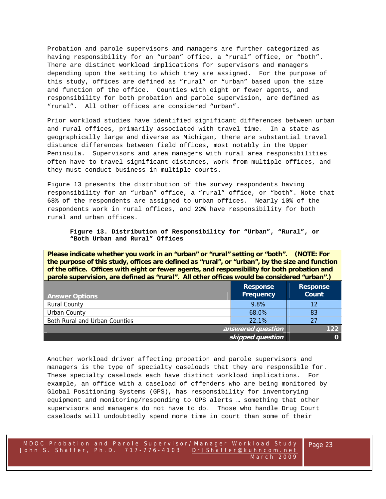Probation and parole supervisors and managers are further categorized as having responsibility for an "urban" office, a "rural" office, or "both". There are distinct workload implications for supervisors and managers depending upon the setting to which they are assigned. For the purpose of this study, offices are defined as "rural" or "urban" based upon the size and function of the office. Counties with eight or fewer agents, and responsibility for both probation and parole supervision, are defined as "rural". All other offices are considered "urban".

Prior workload studies have identified significant differences between urban and rural offices, primarily associated with travel time. In a state as geographically large and diverse as Michigan, there are substantial travel distance differences between field offices, most notably in the Upper Peninsula. Supervisors and area managers with rural area responsibilities often have to travel significant distances, work from multiple offices, and they must conduct business in multiple courts.

Figure 13 presents the distribution of the survey respondents having responsibility for an "urban" office, a "rural" office, or "both". Note that 68% of the respondents are assigned to urban offices. Nearly 10% of the respondents work in rural offices, and 22% have responsibility for both rural and urban offices.

**Figure 13. Distribution of Responsibility for "Urban", "Rural", or "Both Urban and Rural" Offices** 

**Please indicate whether you work in an "urban" or "rural" setting or "both". (NOTE: For the purpose of this study, offices are defined as "rural", or "urban", by the size and function of the office. Offices with eight or fewer agents, and responsibility for both probation and parole supervision, are defined as "rural". All other offices would be considered "urban".)** 

| <b>Answer Options</b>         | <b>Response</b><br><b>Frequency</b> | <b>Response</b><br><b>Count</b> |
|-------------------------------|-------------------------------------|---------------------------------|
| <b>Rural County</b>           | 9.8%                                | 12                              |
| Urban County                  | 68.0%                               | 83                              |
| Both Rural and Urban Counties | 22.1%                               |                                 |
| answered question             |                                     | 122                             |
| skipped question              |                                     |                                 |

Another workload driver affecting probation and parole supervisors and managers is the type of specialty caseloads that they are responsible for. These specialty caseloads each have distinct workload implications. For example, an office with a caseload of offenders who are being monitored by Global Positioning Systems (GPS), has responsibility for inventorying equipment and monitoring/responding to GPS alerts … something that other supervisors and managers do not have to do. Those who handle Drug Court caseloads will undoubtedly spend more time in court than some of their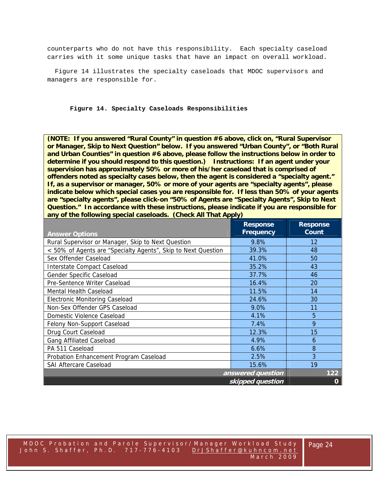counterparts who do not have this responsibility. Each specialty caseload carries with it some unique tasks that have an impact on overall workload.

 Figure 14 illustrates the specialty caseloads that MDOC supervisors and managers are responsible for.

**Figure 14. Specialty Caseloads Responsibilities** 

**(NOTE: If you answered "Rural County" in question #6 above, click on, "Rural Supervisor or Manager, Skip to Next Question" below. If you answered "Urban County", or "Both Rural and Urban Counties" in question #6 above, please follow the instructions below in order to determine if you should respond to this question.) Instructions: If an agent under your supervision has approximately 50% or more of his/her caseload that is comprised of offenders noted as specialty cases below, then the agent is considered a "specialty agent." If, as a supervisor or manager, 50% or more of your agents are "specialty agents", please indicate below which special cases you are responsible for. If less than 50% of your agents are "specialty agents", please click-on "50% of Agents are "Specialty Agents", Skip to Next Question." In accordance with these instructions, please indicate if you are responsible for any of the following special caseloads. (Check All That Apply)** 

|                                                               | <b>Response</b><br><b>Frequency</b> | <b>Response</b><br>Count |
|---------------------------------------------------------------|-------------------------------------|--------------------------|
| <b>Answer Options</b>                                         |                                     |                          |
| Rural Supervisor or Manager, Skip to Next Question            | 9.8%                                | 12                       |
| < 50% of Agents are "Specialty Agents", Skip to Next Question | 39.3%                               | 48                       |
| Sex Offender Caseload                                         | 41.0%                               | 50                       |
| Interstate Compact Caseload                                   | 35.2%                               | 43                       |
| Gender Specific Caseload                                      | 37.7%                               | 46                       |
| Pre-Sentence Writer Caseload                                  | 16.4%                               | 20                       |
| Mental Health Caseload                                        | 11.5%                               | 14                       |
| <b>Electronic Monitoring Caseload</b>                         | 24.6%                               | 30                       |
| Non-Sex Offender GPS Caseload                                 | 9.0%                                | 11                       |
| Domestic Violence Caseload                                    | 4.1%                                | 5                        |
| Felony Non-Support Caseload                                   | 7.4%                                | 9                        |
| Drug Court Caseload                                           | 12.3%                               | 15                       |
| <b>Gang Affiliated Caseload</b>                               | 4.9%                                | 6                        |
| PA 511 Caseload                                               | 6.6%                                | 8                        |
| Probation Enhancement Program Caseload                        | 2.5%                                | 3                        |
| <b>SAI Aftercare Caseload</b>                                 | 15.6%                               | 19                       |
|                                                               | answered question                   | 122                      |
|                                                               | skipped question                    | $\mathbf 0$              |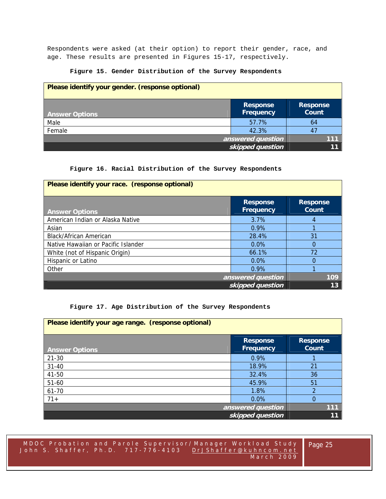Respondents were asked (at their option) to report their gender, race, and age. These results are presented in Figures 15-17, respectively.

# **Figure 15. Gender Distribution of the Survey Respondents**

| Please identify your gender. (response optional) |                                     |                                 |
|--------------------------------------------------|-------------------------------------|---------------------------------|
| <b>Answer Options</b>                            | <b>Response</b><br><b>Frequency</b> | <b>Response</b><br><b>Count</b> |
| Male                                             | 57.7%                               | 64                              |
| Female                                           | 42.3%                               |                                 |
|                                                  | answered question                   |                                 |
|                                                  | skipped question                    |                                 |

# **Figure 16. Racial Distribution of the Survey Respondents**

| Please identify your race. (response optional) |                                     |                          |
|------------------------------------------------|-------------------------------------|--------------------------|
| <b>Answer Options</b>                          | <b>Response</b><br><b>Frequency</b> | <b>Response</b><br>Count |
| American Indian or Alaska Native               | 3.7%                                | 4                        |
| Asian                                          | $0.9\%$                             |                          |
| <b>Black/African American</b>                  | 28.4%                               | 31                       |
| Native Hawaiian or Pacific Islander            | $0.0\%$                             | $\Omega$                 |
| White (not of Hispanic Origin)                 | 66.1%                               | 72                       |
| Hispanic or Latino                             | $0.0\%$                             | 0                        |
| Other                                          | 0.9%                                |                          |
|                                                | answered question                   | 109                      |
|                                                | skipped question                    | 13                       |

# **Figure 17. Age Distribution of the Survey Respondents**

| Please identify your age range. (response optional) |                                     |                          |
|-----------------------------------------------------|-------------------------------------|--------------------------|
| <b>Answer Options</b>                               | <b>Response</b><br><b>Frequency</b> | <b>Response</b><br>Count |
| $21 - 30$                                           | 0.9%                                |                          |
| $31 - 40$                                           | 18.9%                               | 21                       |
| 41-50                                               | 32.4%                               | 36                       |
| $51 - 60$                                           | 45.9%                               | 51                       |
| 61-70                                               | 1.8%                                | 2                        |
| $71+$                                               | 0.0%                                | $\Omega$                 |
|                                                     | answered question                   | 111                      |
|                                                     | skipped question                    | 11                       |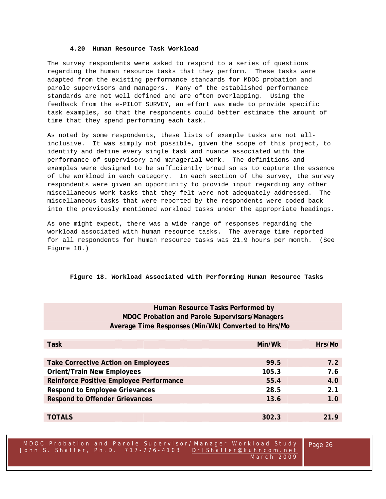#### **4.20 Human Resource Task Workload**

The survey respondents were asked to respond to a series of questions regarding the human resource tasks that they perform. These tasks were adapted from the existing performance standards for MDOC probation and parole supervisors and managers. Many of the established performance standards are not well defined and are often overlapping. Using the feedback from the e-PILOT SURVEY, an effort was made to provide specific task examples, so that the respondents could better estimate the amount of time that they spend performing each task.

As noted by some respondents, these lists of example tasks are not allinclusive. It was simply not possible, given the scope of this project, to identify and define every single task and nuance associated with the performance of supervisory and managerial work. The definitions and examples were designed to be sufficiently broad so as to capture the essence of the workload in each category. In each section of the survey, the survey respondents were given an opportunity to provide input regarding any other miscellaneous work tasks that they felt were not adequately addressed. The miscellaneous tasks that were reported by the respondents were coded back into the previously mentioned workload tasks under the appropriate headings.

As one might expect, there was a wide range of responses regarding the workload associated with human resource tasks. The average time reported for all respondents for human resource tasks was 21.9 hours per month. (See Figure 18.)

# **Figure 18. Workload Associated with Performing Human Resource Tasks**

| Human Resource Tasks Performed by                     |        |        |  |  |
|-------------------------------------------------------|--------|--------|--|--|
| <b>MDOC Probation and Parole Supervisors/Managers</b> |        |        |  |  |
| Average Time Responses (Min/Wk) Converted to Hrs/Mo   |        |        |  |  |
|                                                       |        |        |  |  |
| <b>Task</b>                                           | Min/Wk | Hrs/Mo |  |  |
|                                                       |        |        |  |  |
| 7.2<br>99.5<br>Take Corrective Action on Employees    |        |        |  |  |
| <b>Orient/Train New Employees</b><br>105.3<br>7.6     |        |        |  |  |
| Reinforce Positive Employee Performance               | 55.4   | 4.0    |  |  |
| 2.1<br><b>Respond to Employee Grievances</b><br>28.5  |        |        |  |  |
| <b>Respond to Offender Grievances</b>                 | 13.6   | 1.0    |  |  |
|                                                       |        |        |  |  |
| <b>TOTALS</b>                                         | 302.3  | 21.9   |  |  |

MDOC Probation and Parole Supe rvisor/Manager Workload Study John S. Shaffer, Ph.D. 717-776-4103 DrJShaffer@kuhncom.net March 2009

Page 26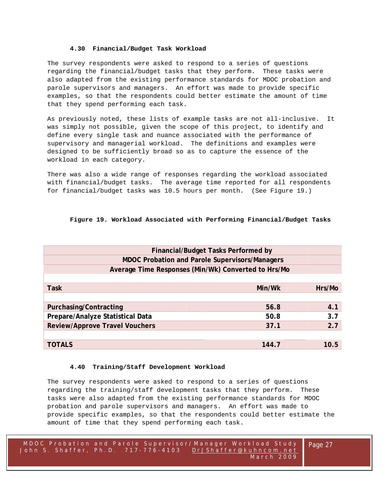# **4.30 Financial/Budget Task Workload**

The survey respondents were asked to respond to a series of questions regarding the financial/budget tasks that they perform. These tasks were also adapted from the existing performance standards for MDOC probation and parole supervisors and managers. An effort was made to provide specific examples, so that the respondents could better estimate the amount of time that they spend performing each task.

As previously noted, these lists of example tasks are not all-inclusive. It was simply not possible, given the scope of this project, to identify and define every single task and nuance associated with the performance of supervisory and managerial workload. The definitions and examples were designed to be sufficiently broad so as to capture the essence of the workload in each category.

There was also a wide range of responses regarding the workload associated with financial/budget tasks. The average time reported for all respondents for financial/budget tasks was 10.5 hours per month. (See Figure 19.)

# **Figure 19. Workload Associated with Performing Financial/Budget Tasks**

| <b>Financial/Budget Tasks Performed by</b>            |        |        |  |  |
|-------------------------------------------------------|--------|--------|--|--|
| <b>MDOC Probation and Parole Supervisors/Managers</b> |        |        |  |  |
| Average Time Responses (Min/Wk) Converted to Hrs/Mo   |        |        |  |  |
|                                                       |        |        |  |  |
| <b>Task</b>                                           | Min/Wk | Hrs/Mo |  |  |
|                                                       |        |        |  |  |
| 56.8<br>Purchasing/Contracting<br>4.1                 |        |        |  |  |
| Prepare/Analyze Statistical Data                      | 50.8   | 3.7    |  |  |
| <b>Review/Approve Travel Vouchers</b>                 | 37.1   | 2.7    |  |  |
|                                                       |        |        |  |  |
| <b>TOTALS</b>                                         | 144.7  | 10.5   |  |  |

# **4.40 Training/Staff Development Workload**

The survey respondents were asked to respond to a series of questions regarding the training/staff development tasks that they perform. These tasks were also adapted from the existing performance standards for MDOC probation and parole supervisors and managers. An effort was made to provide specific examples, so that the respondents could better estimate the amount of time that they spend performing each task.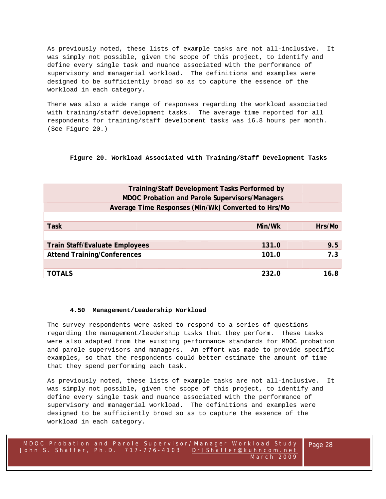As previously noted, these lists of example tasks are not all-inclusive. It was simply not possible, given the scope of this project, to identify and define every single task and nuance associated with the performance of supervisory and managerial workload. The definitions and examples were designed to be sufficiently broad so as to capture the essence of the workload in each category.

There was also a wide range of responses regarding the workload associated with training/staff development tasks. The average time reported for all respondents for training/staff development tasks was 16.8 hours per month. (See Figure 20.)

# **Figure 20. Workload Associated with Training/Staff Development Tasks**

| Training/Staff Development Tasks Performed by         |        |        |
|-------------------------------------------------------|--------|--------|
| <b>MDOC Probation and Parole Supervisors/Managers</b> |        |        |
| Average Time Responses (Min/Wk) Converted to Hrs/Mo   |        |        |
|                                                       |        |        |
| <b>Task</b>                                           | Min/Wk | Hrs/Mo |
|                                                       |        |        |
| <b>Train Staff/Evaluate Employees</b>                 | 131.0  | 9.5    |
| <b>Attend Training/Conferences</b>                    | 101.0  | 7.3    |
|                                                       |        |        |
| <b>TOTALS</b>                                         | 232.0  | 16.8   |

# **4.50 Management/Leadership Workload**

The survey respondents were asked to respond to a series of questions regarding the management/leadership tasks that they perform. These tasks were also adapted from the existing performance standards for MDOC probation and parole supervisors and managers. An effort was made to provide specific examples, so that the respondents could better estimate the amount of time that they spend performing each task.

As previously noted, these lists of example tasks are not all-inclusive. It was simply not possible, given the scope of this project, to identify and define every single task and nuance associated with the performance of supervisory and managerial workload. The definitions and examples were designed to be sufficiently broad so as to capture the essence of the workload in each category.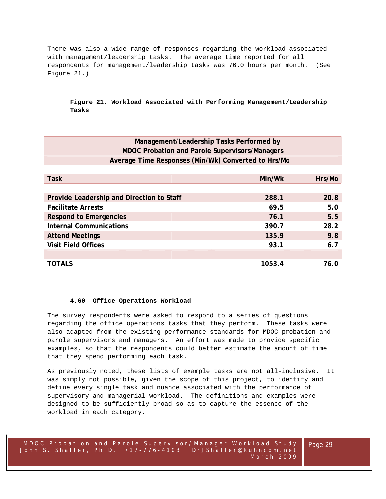There was also a wide range of responses regarding the workload associated with management/leadership tasks. The average time reported for all respondents for management/leadership tasks was 76.0 hours per month. (See Figure 21.)

# **Figure 21. Workload Associated with Performing Management/Leadership Tasks**

| Management/Leadership Tasks Performed by              |        |        |  |
|-------------------------------------------------------|--------|--------|--|
| <b>MDOC Probation and Parole Supervisors/Managers</b> |        |        |  |
| Average Time Responses (Min/Wk) Converted to Hrs/Mo   |        |        |  |
|                                                       |        |        |  |
| <b>Task</b>                                           | Min/Wk | Hrs/Mo |  |
|                                                       |        |        |  |
| Provide Leadership and Direction to Staff             | 288.1  | 20.8   |  |
| <b>Facilitate Arrests</b>                             | 69.5   | 5.0    |  |
| <b>Respond to Emergencies</b>                         | 76.1   | 5.5    |  |
| <b>Internal Communications</b>                        | 390.7  | 28.2   |  |
| <b>Attend Meetings</b>                                | 135.9  | 9.8    |  |
| <b>Visit Field Offices</b>                            | 93.1   | 6.7    |  |
|                                                       |        |        |  |
| <b>TOTALS</b>                                         | 1053.4 | 76.0   |  |

# **4.60 Office Operations Workload**

The survey respondents were asked to respond to a series of questions regarding the office operations tasks that they perform. These tasks were also adapted from the existing performance standards for MDOC probation and parole supervisors and managers. An effort was made to provide specific examples, so that the respondents could better estimate the amount of time that they spend performing each task.

As previously noted, these lists of example tasks are not all-inclusive. It was simply not possible, given the scope of this project, to identify and define every single task and nuance associated with the performance of supervisory and managerial workload. The definitions and examples were designed to be sufficiently broad so as to capture the essence of the workload in each category.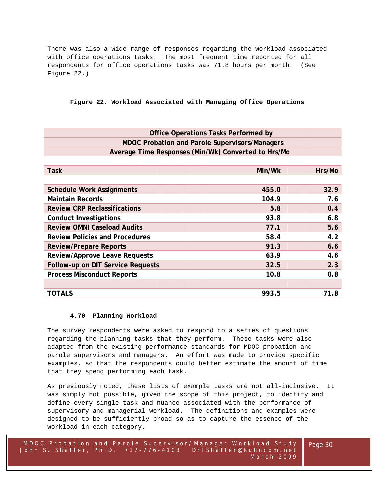There was also a wide range of responses regarding the workload associated with office operations tasks. The most frequent time reported for all respondents for office operations tasks was 71.8 hours per month. (See Figure 22.)

# **Figure 22. Workload Associated with Managing Office Operations**

| <b>MDOC Probation and Parole Supervisors/Managers</b><br>Average Time Responses (Min/Wk) Converted to Hrs/Mo |        |
|--------------------------------------------------------------------------------------------------------------|--------|
|                                                                                                              |        |
|                                                                                                              |        |
|                                                                                                              |        |
| <b>Task</b><br>Min/Wk                                                                                        | Hrs/Mo |
|                                                                                                              |        |
| <b>Schedule Work Assignments</b><br>455.0                                                                    | 32.9   |
| 104.9<br><b>Maintain Records</b>                                                                             | 7.6    |
| <b>Review CRP Reclassifications</b><br>5.8                                                                   | 0.4    |
| 93.8<br><b>Conduct Investigations</b>                                                                        | 6.8    |
| <b>Review OMNI Caseload Audits</b><br>77.1                                                                   | 5.6    |
| 58.4<br><b>Review Policies and Procedures</b>                                                                | 4.2    |
| 91.3<br><b>Review/Prepare Reports</b>                                                                        | 6.6    |
| <b>Review/Approve Leave Requests</b><br>63.9                                                                 | 4.6    |
| Follow-up on DIT Service Requests<br>32.5                                                                    | 2.3    |
| <b>Process Misconduct Reports</b><br>10.8                                                                    | 0.8    |
|                                                                                                              |        |
| <b>TOTALS</b><br>993.5                                                                                       | 71.8   |

# **4.70 Planning Workload**

The survey respondents were asked to respond to a series of questions regarding the planning tasks that they perform. These tasks were also adapted from the existing performance standards for MDOC probation and parole supervisors and managers. An effort was made to provide specific examples, so that the respondents could better estimate the amount of time that they spend performing each task.

As previously noted, these lists of example tasks are not all-inclusive. It was simply not possible, given the scope of this project, to identify and define every single task and nuance associated with the performance of supervisory and managerial workload. The definitions and examples were designed to be sufficiently broad so as to capture the essence of the workload in each category.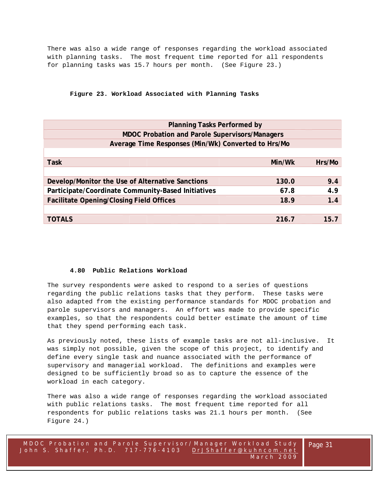There was also a wide range of responses regarding the workload associated with planning tasks. The most frequent time reported for all respondents for planning tasks was 15.7 hours per month. (See Figure 23.)

# **Figure 23. Workload Associated with Planning Tasks**

| <b>Planning Tasks Performed by</b>                    |  |        |        |
|-------------------------------------------------------|--|--------|--------|
| <b>MDOC Probation and Parole Supervisors/Managers</b> |  |        |        |
| Average Time Responses (Min/Wk) Converted to Hrs/Mo   |  |        |        |
|                                                       |  |        |        |
| <b>Task</b>                                           |  | Min/Wk | Hrs/Mo |
|                                                       |  |        |        |
| Develop/Monitor the Use of Alternative Sanctions      |  | 130.0  | 9.4    |
| Participate/Coordinate Community-Based Initiatives    |  | 67.8   | 4.9    |
| <b>Facilitate Opening/Closing Field Offices</b>       |  | 18.9   | 1.4    |
|                                                       |  |        |        |
| <b>TOTALS</b>                                         |  | 216.7  | 15.7   |
|                                                       |  |        |        |

# **4.80 Public Relations Workload**

The survey respondents were asked to respond to a series of questions regarding the public relations tasks that they perform. These tasks were also adapted from the existing performance standards for MDOC probation and parole supervisors and managers. An effort was made to provide specific examples, so that the respondents could better estimate the amount of time that they spend performing each task.

As previously noted, these lists of example tasks are not all-inclusive. It was simply not possible, given the scope of this project, to identify and define every single task and nuance associated with the performance of supervisory and managerial workload. The definitions and examples were designed to be sufficiently broad so as to capture the essence of the workload in each category.

There was also a wide range of responses regarding the workload associated with public relations tasks. The most frequent time reported for all respondents for public relations tasks was 21.1 hours per month. (See Figure 24.)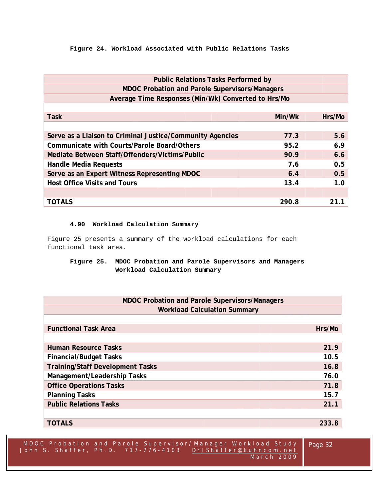# **Figure 24. Workload Associated with Public Relations Tasks**

| <b>Public Relations Tasks Performed by</b>                |        |        |  |
|-----------------------------------------------------------|--------|--------|--|
| <b>MDOC Probation and Parole Supervisors/Managers</b>     |        |        |  |
| Average Time Responses (Min/Wk) Converted to Hrs/Mo       |        |        |  |
|                                                           |        |        |  |
| <b>Task</b>                                               | Min/Wk | Hrs/Mo |  |
|                                                           |        |        |  |
| Serve as a Liaison to Criminal Justice/Community Agencies | 77.3   | 5.6    |  |
| Communicate with Courts/Parole Board/Others               | 95.2   | 6.9    |  |
| Mediate Between Staff/Offenders/Victims/Public            | 90.9   | 6.6    |  |
| <b>Handle Media Requests</b>                              | 7.6    | 0.5    |  |
| Serve as an Expert Witness Representing MDOC              | 6.4    | 0.5    |  |
| <b>Host Office Visits and Tours</b>                       | 13.4   | 1.0    |  |
|                                                           |        |        |  |
| <b>TOTALS</b>                                             | 290.8  |        |  |

# **4.90 Workload Calculation Summary**

Figure 25 presents a summary of the workload calculations for each functional task area.

# **Figure 25. MDOC Probation and Parole Supervisors and Managers Workload Calculation Summary**

| <b>MDOC Probation and Parole Supervisors/Managers</b> |        |
|-------------------------------------------------------|--------|
| <b>Workload Calculation Summary</b>                   |        |
|                                                       |        |
| <b>Functional Task Area</b>                           | Hrs/Mo |
|                                                       |        |
| <b>Human Resource Tasks</b>                           | 21.9   |
| <b>Financial/Budget Tasks</b>                         | 10.5   |
| <b>Training/Staff Development Tasks</b>               | 16.8   |
| Management/Leadership Tasks                           | 76.0   |
| <b>Office Operations Tasks</b>                        | 71.8   |
| <b>Planning Tasks</b>                                 | 15.7   |
| <b>Public Relations Tasks</b>                         | 21.1   |

**TOTALS 233.8**

| MDOC Probation and Parole Supervisor/Manager Workload Study   Page 32<br><sup>1</sup> John S. Shaffer, Ph.D. 717–776–4103 DrJShaffer@kuhncom.net,<br>March 2009 |  |
|-----------------------------------------------------------------------------------------------------------------------------------------------------------------|--|
|                                                                                                                                                                 |  |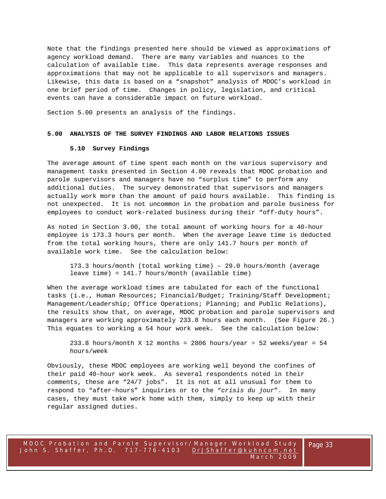Note that the findings presented here should be viewed as approximations of agency workload demand. There are many variables and nuances to the calculation of available time. This data represents average responses and approximations that may not be applicable to all supervisors and managers. Likewise, this data is based on a "snapshot" analysis of MDOC's workload in one brief period of time. Changes in policy, legislation, and critical events can have a considerable impact on future workload.

Section 5.00 presents an analysis of the findings.

#### **5.00 ANALYSIS OF THE SURVEY FINDINGS AND LABOR RELATIONS ISSUES**

#### **5.10 Survey Findings**

The average amount of time spent each month on the various supervisory and management tasks presented in Section 4.00 reveals that MDOC probation and parole supervisors and managers have no "surplus time" to perform any additional duties. The survey demonstrated that supervisors and managers actually work more than the amount of paid hours available. This finding is not unexpected. It is not uncommon in the probation and parole business for employees to conduct work-related business during their "off-duty hours".

As noted in Section 3.00, the total amount of working hours for a 40-hour employee is 173.3 hours per month. When the average leave time is deducted from the total working hours, there are only 141.7 hours per month of available work time. See the calculation below:

173.3 hours/month (total working time) – 29.0 hours/month (average leave time) = 141.7 hours/month (available time)

When the average workload times are tabulated for each of the functional tasks (i.e., Human Resources; Financial/Budget; Training/Staff Development; Management/Leadership; Office Operations; Planning; and Public Relations), the results show that, on average, MDOC probation and parole supervisors and managers are working approximately 233.8 hours each month. (See Figure 26.) This equates to working a 54 hour work week. See the calculation below:

233.8 hours/month X 12 months = 2806 hours/year  $\div$  52 weeks/year = 54 hours/week

Obviously, these MDOC employees are working well beyond the confines of their paid 40-hour work week. As several respondents noted in their comments, these are "24/7 jobs". It is not at all unusual for them to respond to "after-hours" inquiries or to the "*crisis du jour*". In many cases, they must take work home with them, simply to keep up with their regular assigned duties.

İ,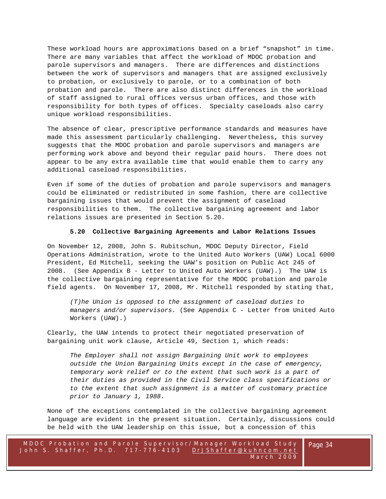These workload hours are approximations based on a brief "snapshot" in time. There are many variables that affect the workload of MDOC probation and parole supervisors and managers. There are differences and distinctions between the work of supervisors and managers that are assigned exclusively to probation, or exclusively to parole, or to a combination of both probation and parole. There are also distinct differences in the workload of staff assigned to rural offices versus urban offices, and those with responsibility for both types of offices. Specialty caseloads also carry unique workload responsibilities.

The absence of clear, prescriptive performance standards and measures have made this assessment particularly challenging. Nevertheless, this survey suggests that the MDOC probation and parole supervisors and managers are performing work above and beyond their regular paid hours. There does not appear to be any extra available time that would enable them to carry any additional caseload responsibilities.

Even if some of the duties of probation and parole supervisors and managers could be eliminated or redistributed in some fashion, there are collective bargaining issues that would prevent the assignment of caseload responsibilities to them. The collective bargaining agreement and labor relations issues are presented in Section 5.20.

## **5.20 Collective Bargaining Agreements and Labor Relations Issues**

On November 12, 2008, John S. Rubitschun, MDOC Deputy Director, Field Operations Administration, wrote to the United Auto Workers (UAW) Local 6000 President, Ed Mitchell, seeking the UAW's position on Public Act 245 of 2008. (See Appendix B - Letter to United Auto Workers (UAW).) The UAW is the collective bargaining representative for the MDOC probation and parole field agents. On November 17, 2008, Mr. Mitchell responded by stating that,

*(T)he Union is opposed to the assignment of caseload duties to managers and/or supervisors.* (See Appendix C - Letter from United Auto Workers (UAW).)

Clearly, the UAW intends to protect their negotiated preservation of bargaining unit work clause, Article 49, Section 1, which reads:

*The Employer shall not assign Bargaining Unit work to employees outside the Union Bargaining Units except in the case of emergency, temporary work relief or to the extent that such work is a part of their duties as provided in the Civil Service class specifications or to the extent that such assignment is a matter of customary practice prior to January 1, 1988.*

None of the exceptions contemplated in the collective bargaining agreement language are evident in the present situation. Certainly, discussions could be held with the UAW leadership on this issue, but a concession of this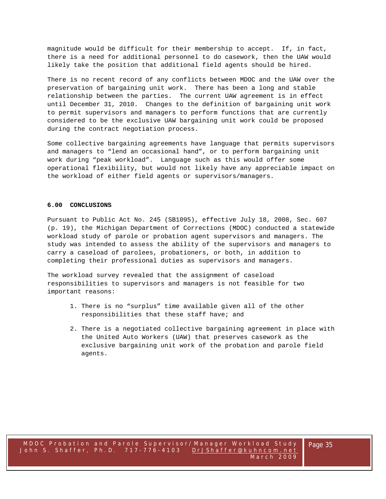magnitude would be difficult for their membership to accept. If, in fact, there is a need for additional personnel to do casework, then the UAW would likely take the position that additional field agents should be hired.

There is no recent record of any conflicts between MDOC and the UAW over the preservation of bargaining unit work. There has been a long and stable relationship between the parties. The current UAW agreement is in effect until December 31, 2010. Changes to the definition of bargaining unit work to permit supervisors and managers to perform functions that are currently considered to be the exclusive UAW bargaining unit work could be proposed during the contract negotiation process.

Some collective bargaining agreements have language that permits supervisors and managers to "lend an occasional hand", or to perform bargaining unit work during "peak workload". Language such as this would offer some operational flexibility, but would not likely have any appreciable impact on the workload of either field agents or supervisors/managers.

#### **6.00 CONCLUSIONS**

Pursuant to Public Act No. 245 (SB1095), effective July 18, 2008, Sec. 607 (p. 19), the Michigan Department of Corrections (MDOC) conducted a statewide workload study of parole or probation agent supervisors and managers. The study was intended to assess the ability of the supervisors and managers to carry a caseload of parolees, probationers, or both, in addition to completing their professional duties as supervisors and managers.

The workload survey revealed that the assignment of caseload responsibilities to supervisors and managers is not feasible for two important reasons:

- 1. There is no "surplus" time available given all of the other responsibilities that these staff have; and
- 2. There is a negotiated collective bargaining agreement in place with the United Auto Workers (UAW) that preserves casework as the exclusive bargaining unit work of the probation and parole field agents.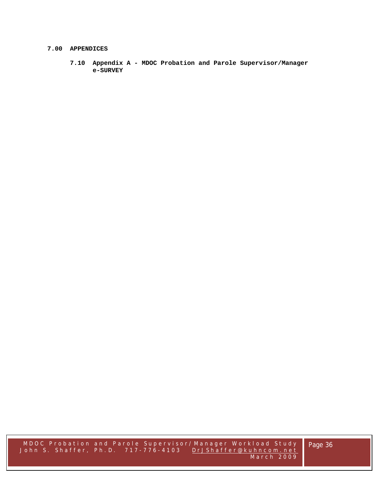#### **7.00 APPENDICES**

**7.10 Appendix A - MDOC Probation and Parole Supervisor/Manager e-SURVEY**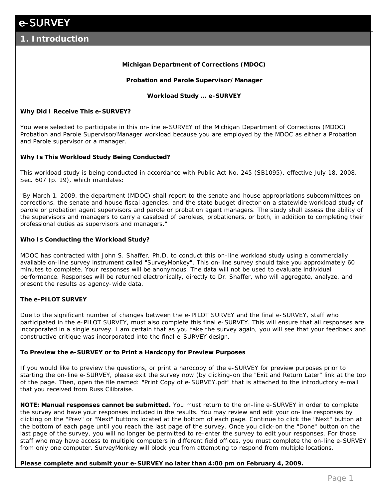e-SURVEY **Michigan Department of Corrections (MDOC) Probation and Parole Supervisor/Manager Workload Study ... e-SURVEY Why Did I Receive This e-SURVEY?** You were selected to participate in this on-line e-SURVEY of the Michigan Department of Corrections (MDOC) Probation and Parole Supervisor/Manager workload because you are employed by the MDOC as either a Probation and Parole supervisor or a manager. **Why Is This Workload Study Being Conducted?** This workload study is being conducted in accordance with Public Act No. 245 (SB1095), effective July 18, 2008, Sec. 607 (p. 19), which mandates: "By March 1, 2009, the department (MDOC) shall report to the senate and house appropriations subcommittees on corrections, the senate and house fiscal agencies, and the state budget director on a statewide workload study of parole or probation agent supervisors and parole or probation agent managers. The study shall assess the ability of the supervisors and managers to carry a caseload of parolees, probationers, or both, in addition to completing their professional duties as supervisors and managers." **Who Is Conducting the Workload Study?** MDOC has contracted with John S. Shaffer, Ph.D. to conduct this on-line workload study using a commercially available on-line survey instrument called "SurveyMonkey". This on-line survey should take you approximately 60 minutes to complete. Your responses will be anonymous. The data will not be used to evaluate individual performance. Responses will be returned electronically, directly to Dr. Shaffer, who will aggregate, analyze, and present the results as agency-wide data. **The e-PILOT SURVEY** Due to the significant number of changes between the e-PILOT SURVEY and the final e-SURVEY, staff who participated in the e-PILOT SURVEY, must also complete this final e-SURVEY. This will ensure that all responses are incorporated in a single survey. I am certain that as you take the survey again, you will see that your feedback and constructive critique was incorporated into the final e-SURVEY design. **To Preview the e-SURVEY or to Print a Hardcopy for Preview Purposes** If you would like to preview the questions, or print a hardcopy of the e-SURVEY for preview purposes prior to starting the on-line e-SURVEY, please exit the survey now (by clicking-on the "Exit and Return Later" link at the top of the page. Then, open the file named: "Print Copy of e-SURVEY.pdf" that is attached to the introductory e-mail that you received from Russ Cilibraise. **NOTE: Manual responses cannot be submitted.** You must return to the on-line e-SURVEY in order to complete the survey and have your responses included in the results. You may review and edit your on-line responses by clicking on the "Prev" or "Next" buttons located at the bottom of each page. Continue to click the "Next" button at the bottom of each page until you reach the last page of the survey. Once you click-on the "Done" button on the last page of the survey, you will no longer be permitted to re-enter the survey to edit your responses. For those **1. Introduction**

**Please complete and submit your e-SURVEY no later than 4:00 pm on February 4, 2009.**

from only one computer. SurveyMonkey will block you from attempting to respond from multiple locations.

staff who may have access to multiple computers in different field offices, you must complete the on-line e-SURVEY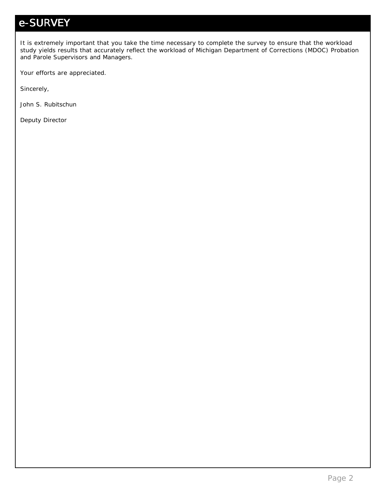It is extremely important that you take the time necessary to complete the survey to ensure that the workload study yields results that accurately reflect the workload of Michigan Department of Corrections (MDOC) Probation and Parole Supervisors and Managers.

Your efforts are appreciated.

Sincerely,

John S. Rubitschun

Deputy Director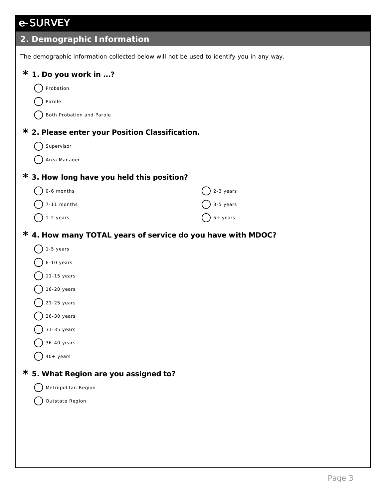| 2. Demographic Information                                                               |                     |  |  |  |  |  |  |
|------------------------------------------------------------------------------------------|---------------------|--|--|--|--|--|--|
| The demographic information collected below will not be used to identify you in any way. |                     |  |  |  |  |  |  |
| $*$ 1. Do you work in ?                                                                  |                     |  |  |  |  |  |  |
| Probation                                                                                |                     |  |  |  |  |  |  |
| Parole                                                                                   |                     |  |  |  |  |  |  |
| Both Probation and Parole                                                                |                     |  |  |  |  |  |  |
| * 2. Please enter your Position Classification.                                          |                     |  |  |  |  |  |  |
| Supervisor                                                                               |                     |  |  |  |  |  |  |
| Area Manager                                                                             |                     |  |  |  |  |  |  |
| * 3. How long have you held this position?                                               |                     |  |  |  |  |  |  |
| 0-6 months                                                                               | 2-3 years           |  |  |  |  |  |  |
| 7-11 months                                                                              | 3-5 years           |  |  |  |  |  |  |
| -2 years                                                                                 | $5 + \text{ years}$ |  |  |  |  |  |  |
|                                                                                          |                     |  |  |  |  |  |  |

- **4. How many TOTAL years of service do you have with MDOC? \***
	- $\bigcirc$  1-5 years
	- 6-10 years
	- $11-15$  years
	- $16-20$  years
	- $21-25$  years
	- $26-30$  years
	- 31-35 years
	- 36-40 years
	- $40+$  years
- **5. What Region are you assigned to? \***
	- Metropolitan Region
	- Outstate Region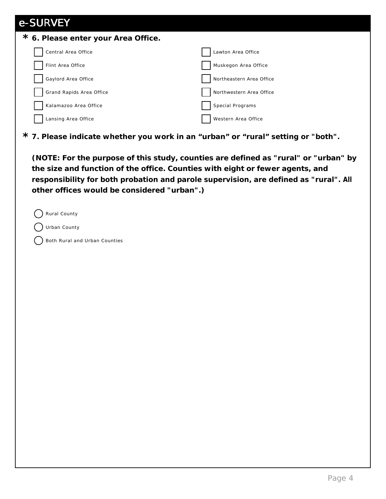| e-SURVEY                            |                          |
|-------------------------------------|--------------------------|
| * 6. Please enter your Area Office. |                          |
| Central Area Office                 | Lawton Area Office       |
| Flint Area Office                   | Muskegon Area Office     |
| Gaylord Area Office                 | Northeastern Area Office |
| Grand Rapids Area Office            | Northwestern Area Office |
| Kalamazoo Area Office               | Special Programs         |
| Lansing Area Office                 | Western Area Office      |
|                                     |                          |

**7. Please indicate whether you work in an "urban" or "rural" setting or "both". \***

**(NOTE: For the purpose of this study, counties are defined as "rural" or "urban" by the size and function of the office. Counties with eight or fewer agents, and responsibility for both probation and parole supervision, are defined as "rural". All other offices would be considered "urban".)**

Rural County

- Urban County
- Both Rural and Urban Counties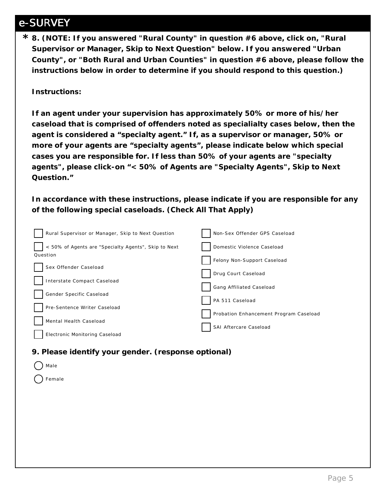**8. (NOTE: If you answered "Rural County" in question #6 above, click on, "Rural \* Supervisor or Manager, Skip to Next Question" below. If you answered "Urban County", or "Both Rural and Urban Counties" in question #6 above, please follow the instructions below in order to determine if you should respond to this question.)**

**Instructions:**

**If an agent under your supervision has approximately 50% or more of his/her caseload that is comprised of offenders noted as specialialty cases below, then the agent is considered a "specialty agent." If, as a supervisor or manager, 50% or more of your agents are "specialty agents", please indicate below which special cases you are responsible for. If less than 50% of your agents are "specialty agents", please click-on "< 50% of Agents are "Specialty Agents", Skip to Next Question."**

**In accordance with these instructions, please indicate if you are responsible for any of the following special caseloads. (Check All That Apply)**

| Rural Supervisor or Manager, Skip to Next Question   | Non-Sex Offender GPS Caseload          |
|------------------------------------------------------|----------------------------------------|
| < 50% of Agents are "Specialty Agents", Skip to Next | Domestic Violence Caseload             |
| Question                                             | Felony Non-Support Caseload            |
| Sex Offender Caseload                                | Drug Court Caseload                    |
| Interstate Compact Caseload                          | Gang Affiliated Caseload               |
| Gender Specific Caseload                             |                                        |
| Pre-Sentence Writer Caseload                         | PA 511 Caseload                        |
| Mental Health Caseload                               | Probation Enhancement Program Caseload |
| Electronic Monitoring Caseload                       | SAI Aftercare Caseload                 |

**9. Please identify your gender. (response optional)**

| $\bigcap$ Male    |  |  |  |
|-------------------|--|--|--|
| $\bigcirc$ Female |  |  |  |
|                   |  |  |  |
|                   |  |  |  |
|                   |  |  |  |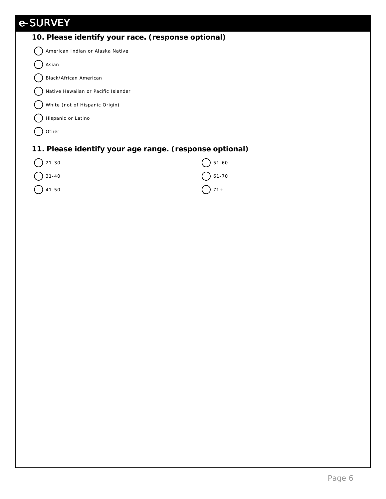| 10. Please identify your race. (response optional)      |           |
|---------------------------------------------------------|-----------|
| American Indian or Alaska Native                        |           |
| Asian                                                   |           |
| Black/African American                                  |           |
| Native Hawaiian or Pacific Islander                     |           |
| White (not of Hispanic Origin)                          |           |
| Hispanic or Latino                                      |           |
| Other                                                   |           |
| 11. Please identify your age range. (response optional) |           |
| $21 - 30$                                               | $51 - 60$ |
| $31 - 40$                                               | $61 - 70$ |
| $41 - 50$                                               | $71 +$    |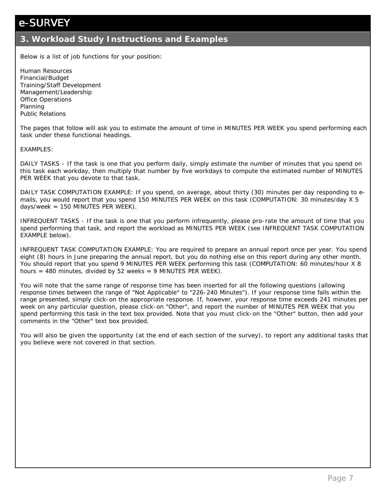#### **3. Workload Study Instructions and Examples**

Below is a list of job functions for your position:

Human Resources Financial/Budget Training/Staff Development Management/Leadership Office Operations Planning Public Relations

The pages that follow will ask you to estimate the amount of time in MINUTES PER WEEK you spend performing each task under these functional headings.

#### EXAMPLES:

DAILY TASKS - If the task is one that you perform daily, simply estimate the number of minutes that you spend on this task each workday, then multiply that number by five workdays to compute the estimated number of MINUTES PER WEEK that you devote to that task.

DAILY TASK COMPUTATION EXAMPLE: If you spend, on average, about thirty (30) minutes per day responding to emails, you would report that you spend 150 MINUTES PER WEEK on this task (COMPUTATION: 30 minutes/day X 5  $days/week = 150$  MINUTES PER WEEK).

INFREQUENT TASKS - If the task is one that you perform infrequently, please pro-rate the amount of time that you spend performing that task, and report the workload as MINUTES PER WEEK (see INFREQUENT TASK COMPUTATION EXAMPLE below).

INFREQUENT TASK COMPUTATION EXAMPLE: You are required to prepare an annual report once per year. You spend eight (8) hours in June preparing the annual report, but you do nothing else on this report during any other month. You should report that you spend 9 MINUTES PER WEEK performing this task (COMPUTATION: 60 minutes/hour X 8 hours =  $480$  minutes, divided by  $52$  weeks =  $9$  MINUTES PER WEEK).

You will note that the same range of response time has been inserted for all the following questions (allowing response times between the range of "Not Applicable" to "226-240 Minutes"). If your response time falls within the range presented, simply click-on the appropriate response. If, however, your response time exceeds 241 minutes per week on any particular question, please click-on "Other", and report the number of MINUTES PER WEEK that you spend performing this task in the text box provided. Note that you must click-on the "Other" button, then add your comments in the "Other" text box provided.

You will also be given the opportunity (at the end of each section of the survey), to report any additional tasks that you believe were not covered in that section.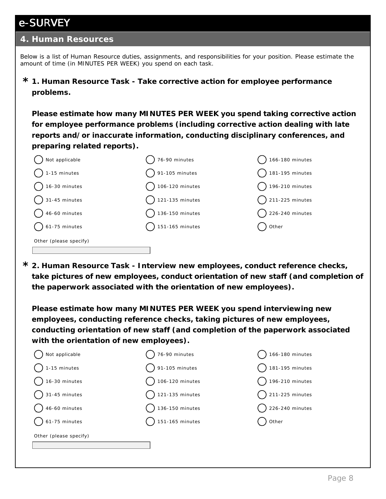#### **4. Human Resources**

Below is a list of Human Resource duties, assignments, and responsibilities for your position. Please estimate the amount of time (in MINUTES PER WEEK) you spend on each task.

**1. Human Resource Task - Take corrective action for employee performance \* problems.** 

**Please estimate how many MINUTES PER WEEK you spend taking corrective action for employee performance problems (including corrective action dealing with late reports and/or inaccurate information, conducting disciplinary conferences, and preparing related reports).**



**2. Human Resource Task - Interview new employees, conduct reference checks, \* take pictures of new employees, conduct orientation of new staff (and completion of the paperwork associated with the orientation of new employees).**

**Please estimate how many MINUTES PER WEEK you spend interviewing new employees, conducting reference checks, taking pictures of new employees, conducting orientation of new staff (and completion of the paperwork associated with the orientation of new employees).**

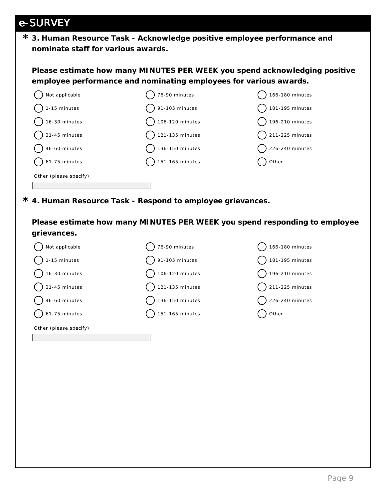**3. Human Resource Task - Acknowledge positive employee performance and \* nominate staff for various awards.**

**Please estimate how many MINUTES PER WEEK you spend acknowledging positive employee performance and nominating employees for various awards.**



**4. Human Resource Task - Respond to employee grievances. \***

**Please estimate how many MINUTES PER WEEK you spend responding to employee grievances.**

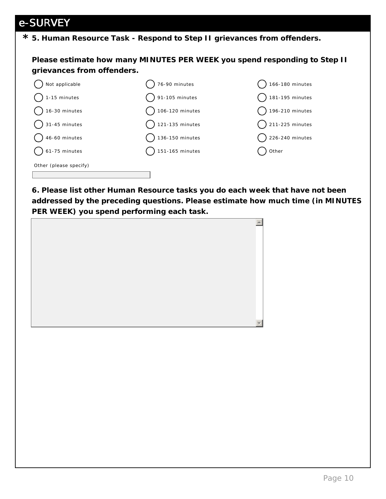**5. Human Resource Task - Respond to Step II grievances from offenders. \***

**Please estimate how many MINUTES PER WEEK you spend responding to Step II grievances from offenders.**



**6. Please list other Human Resource tasks you do each week that have not been addressed by the preceding questions. Please estimate how much time (in MINUTES PER WEEK) you spend performing each task.**

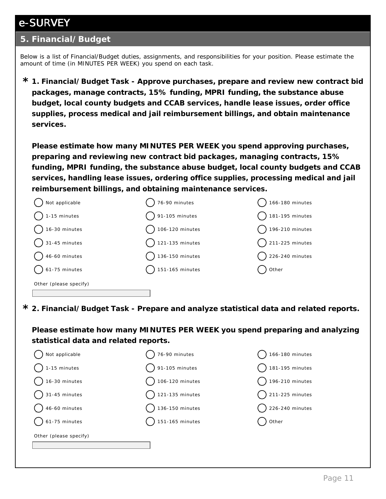#### **5. Financial/Budget**

Below is a list of Financial/Budget duties, assignments, and responsibilities for your position. Please estimate the amount of time (in MINUTES PER WEEK) you spend on each task.

**1. Financial/Budget Task - Approve purchases, prepare and review new contract bid \* packages, manage contracts, 15% funding, MPRI funding, the substance abuse budget, local county budgets and CCAB services, handle lease issues, order office supplies, process medical and jail reimbursement billings, and obtain maintenance services.**

**Please estimate how many MINUTES PER WEEK you spend approving purchases, preparing and reviewing new contract bid packages, managing contracts, 15% funding, MPRI funding, the substance abuse budget, local county budgets and CCAB services, handling lease issues, ordering office supplies, processing medical and jail reimbursement billings, and obtaining maintenance services.**

| Not applicable         | 76-90 minutes              | 166-180 minutes            |
|------------------------|----------------------------|----------------------------|
| 1-15 minutes           | $\bigcirc$ 91-105 minutes  | 181-195 minutes            |
| 16-30 minutes          | $\big)$ 106-120 minutes    | $\big)$ 196-210 minutes    |
| 31-45 minutes          | $\bigcap$ 121-135 minutes  | $\bigcap$ 211-225 minutes  |
| 46-60 minutes          | $\bigcirc$ 136-150 minutes | $\bigcirc$ 226-240 minutes |
| $\big)$ 61-75 minutes  | $\bigcap$ 151-165 minutes  | Other                      |
| Other (please specify) |                            |                            |

**2. Financial/Budget Task - Prepare and analyze statistical data and related reports. \***

**Please estimate how many MINUTES PER WEEK you spend preparing and analyzing statistical data and related reports.**

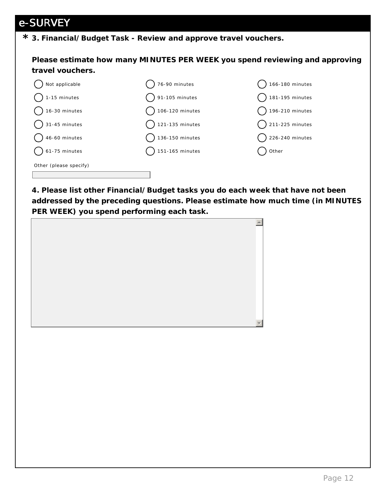**3. Financial/Budget Task - Review and approve travel vouchers. \***

**Please estimate how many MINUTES PER WEEK you spend reviewing and approving travel vouchers.**



**4. Please list other Financial/Budget tasks you do each week that have not been addressed by the preceding questions. Please estimate how much time (in MINUTES PER WEEK) you spend performing each task.**

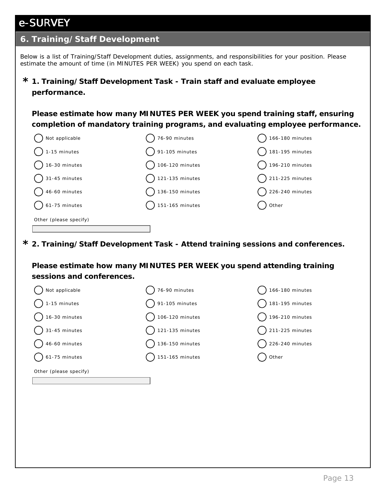#### **6. Training/Staff Development**

Below is a list of Training/Staff Development duties, assignments, and responsibilities for your position. Please estimate the amount of time (in MINUTES PER WEEK) you spend on each task.

#### **1. Training/Staff Development Task - Train staff and evaluate employee \* performance.**

**Please estimate how many MINUTES PER WEEK you spend training staff, ensuring completion of mandatory training programs, and evaluating employee performance.**

| Not applicable         | 76-90 minutes             | 166-180 minutes            |
|------------------------|---------------------------|----------------------------|
| 1-15 minutes           | $\bigcirc$ 91-105 minutes | 181-195 minutes            |
| 16-30 minutes          | $\big)$ 106-120 minutes   | 196-210 minutes            |
| 31-45 minutes          | $\bigcap$ 121-135 minutes | $\bigcap$ 211-225 minutes  |
| 46-60 minutes          | $\big)$ 136-150 minutes   | $\bigcirc$ 226-240 minutes |
| $\big)$ 61-75 minutes  | $\bigcap$ 151-165 minutes | Other                      |
| Other (please specify) |                           |                            |
|                        |                           |                            |

**2. Training/Staff Development Task - Attend training sessions and conferences. \***

**Please estimate how many MINUTES PER WEEK you spend attending training sessions and conferences.**

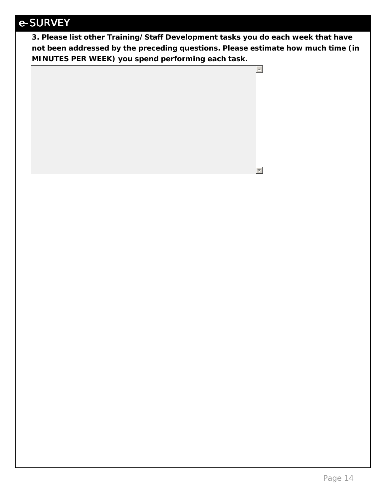**3. Please list other Training/Staff Development tasks you do each week that have not been addressed by the preceding questions. Please estimate how much time (in MINUTES PER WEEK) you spend performing each task.**

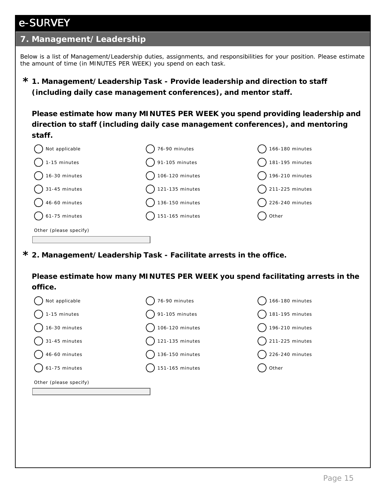#### **7. Management/Leadership**

Below is a list of Management/Leadership duties, assignments, and responsibilities for your position. Please estimate the amount of time (in MINUTES PER WEEK) you spend on each task.

**1. Management/Leadership Task - Provide leadership and direction to staff \* (including daily case management conferences), and mentor staff.** 

**Please estimate how many MINUTES PER WEEK you spend providing leadership and direction to staff (including daily case management conferences), and mentoring staff.** 

| Not applicable           | 76-90 minutes   | 166-180 minutes            |
|--------------------------|-----------------|----------------------------|
| 1-15 minutes             | 91-105 minutes  | $\bigcap$ 181-195 minutes  |
| 16-30 minutes            | 106-120 minutes | $\bigcap$ 196-210 minutes  |
| $\bigcap$ 31-45 minutes  | 121-135 minutes | $\bigcap$ 211-225 minutes  |
| $46-60$ minutes          | 136-150 minutes | $\bigcirc$ 226-240 minutes |
| $\bigcirc$ 61-75 minutes | 151-165 minutes | ) Other                    |
| Other (please specify)   |                 |                            |
|                          |                 |                            |

**2. Management/Leadership Task - Facilitate arrests in the office. \***

**Please estimate how many MINUTES PER WEEK you spend facilitating arrests in the office.**

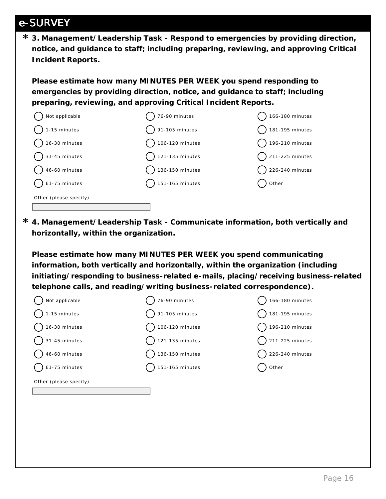**3. Management/Leadership Task - Respond to emergencies by providing direction, \* notice, and guidance to staff; including preparing, reviewing, and approving Critical Incident Reports.** 

**Please estimate how many MINUTES PER WEEK you spend responding to emergencies by providing direction, notice, and guidance to staff; including preparing, reviewing, and approving Critical Incident Reports.**



**4. Management/Leadership Task - Communicate information, both vertically and \* horizontally, within the organization.**

**Please estimate how many MINUTES PER WEEK you spend communicating information, both vertically and horizontally, within the organization (including initiating/responding to business-related e-mails, placing/receiving business-related telephone calls, and reading/writing business-related correspondence).**

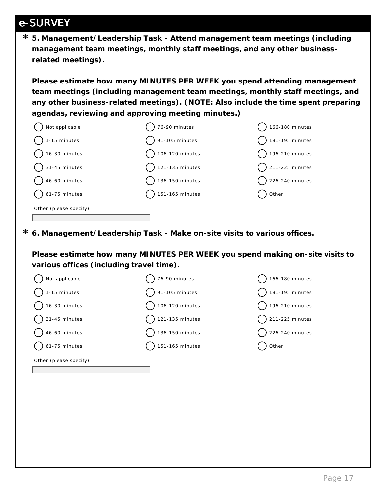**5. Management/Leadership Task - Attend management team meetings (including \* management team meetings, monthly staff meetings, and any other businessrelated meetings).**

**Please estimate how many MINUTES PER WEEK you spend attending management team meetings (including management team meetings, monthly staff meetings, and any other business-related meetings). (NOTE: Also include the time spent preparing agendas, reviewing and approving meeting minutes.)**



**6. Management/Leadership Task - Make on-site visits to various offices. \***

**Please estimate how many MINUTES PER WEEK you spend making on-site visits to various offices (including travel time).**

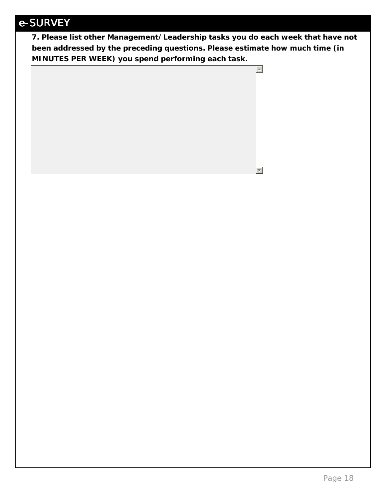**7. Please list other Management/Leadership tasks you do each week that have not been addressed by the preceding questions. Please estimate how much time (in MINUTES PER WEEK) you spend performing each task.**

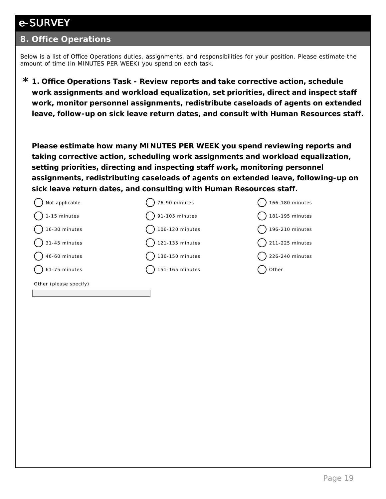#### **8. Office Operations**

Below is a list of Office Operations duties, assignments, and responsibilities for your position. Please estimate the amount of time (in MINUTES PER WEEK) you spend on each task.

**1. Office Operations Task - Review reports and take corrective action, schedule \* work assignments and workload equalization, set priorities, direct and inspect staff work, monitor personnel assignments, redistribute caseloads of agents on extended leave, follow-up on sick leave return dates, and consult with Human Resources staff.**

**Please estimate how many MINUTES PER WEEK you spend reviewing reports and taking corrective action, scheduling work assignments and workload equalization, setting priorities, directing and inspecting staff work, monitoring personnel assignments, redistributing caseloads of agents on extended leave, following-up on sick leave return dates, and consulting with Human Resources staff.** 

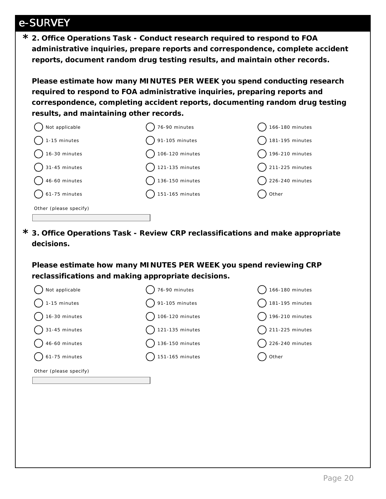**2. Office Operations Task - Conduct research required to respond to FOA \* administrative inquiries, prepare reports and correspondence, complete accident reports, document random drug testing results, and maintain other records.**

**Please estimate how many MINUTES PER WEEK you spend conducting research required to respond to FOA administrative inquiries, preparing reports and correspondence, completing accident reports, documenting random drug testing results, and maintaining other records.**



**3. Office Operations Task - Review CRP reclassifications and make appropriate \* decisions.**

**Please estimate how many MINUTES PER WEEK you spend reviewing CRP reclassifications and making appropriate decisions.**

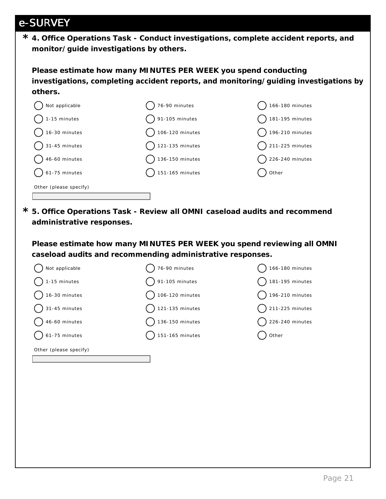**4. Office Operations Task - Conduct investigations, complete accident reports, and \* monitor/guide investigations by others.**

**Please estimate how many MINUTES PER WEEK you spend conducting investigations, completing accident reports, and monitoring/guiding investigations by others.**



**5. Office Operations Task - Review all OMNI caseload audits and recommend \* administrative responses.**

**Please estimate how many MINUTES PER WEEK you spend reviewing all OMNI caseload audits and recommending administrative responses.**

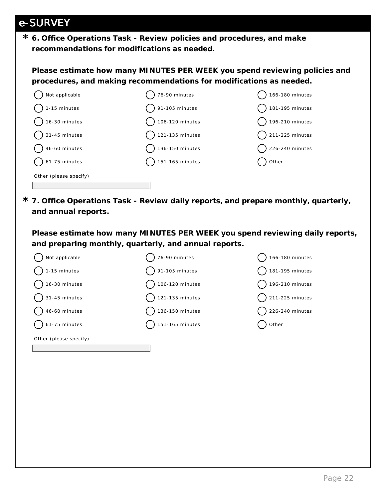**6. Office Operations Task - Review policies and procedures, and make \* recommendations for modifications as needed.** 

**Please estimate how many MINUTES PER WEEK you spend reviewing policies and procedures, and making recommendations for modifications as needed.**



**7. Office Operations Task - Review daily reports, and prepare monthly, quarterly, \* and annual reports.**

**Please estimate how many MINUTES PER WEEK you spend reviewing daily reports, and preparing monthly, quarterly, and annual reports.**

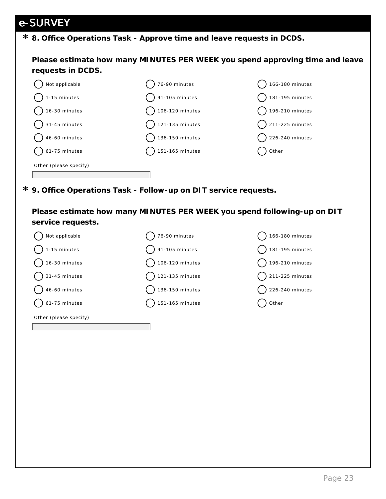### **8. Office Operations Task - Approve time and leave requests in DCDS. \***

**Please estimate how many MINUTES PER WEEK you spend approving time and leave requests in DCDS.**



**9. Office Operations Task - Follow-up on DIT service requests. \***

**Please estimate how many MINUTES PER WEEK you spend following-up on DIT service requests.**

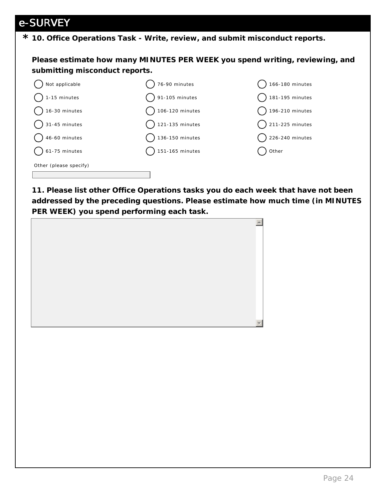**10. Office Operations Task - Write, review, and submit misconduct reports. \***

**Please estimate how many MINUTES PER WEEK you spend writing, reviewing, and submitting misconduct reports.**



**11. Please list other Office Operations tasks you do each week that have not been addressed by the preceding questions. Please estimate how much time (in MINUTES PER WEEK) you spend performing each task.**

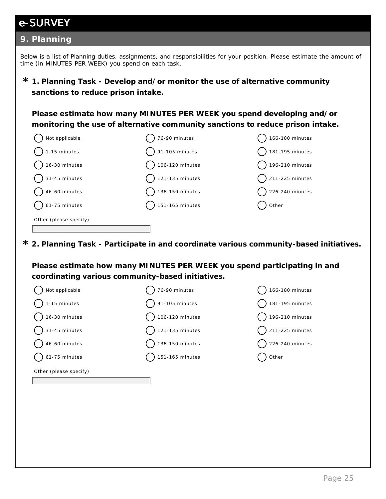#### **9. Planning**

Below is a list of Planning duties, assignments, and responsibilities for your position. Please estimate the amount of time (in MINUTES PER WEEK) you spend on each task.

**1. Planning Task - Develop and/or monitor the use of alternative community \* sanctions to reduce prison intake.**

**Please estimate how many MINUTES PER WEEK you spend developing and/or monitoring the use of alternative community sanctions to reduce prison intake.**

| Not applicable         | 76-90 minutes             | 166-180 minutes           |
|------------------------|---------------------------|---------------------------|
| 1-15 minutes           | 91-105 minutes            | 181-195 minutes           |
| 16-30 minutes          | 106-120 minutes           | 196-210 minutes           |
| $\big)$ 31-45 minutes  | $\bigcap$ 121-135 minutes | $\bigcap$ 211-225 minutes |
| 46-60 minutes          | 136-150 minutes           | 226-240 minutes           |
| 61-75 minutes          | 151-165 minutes           | Other                     |
| Other (please specify) |                           |                           |
|                        |                           |                           |

**2. Planning Task - Participate in and coordinate various community-based initiatives. \***

**Please estimate how many MINUTES PER WEEK you spend participating in and coordinating various community-based initiatives.**

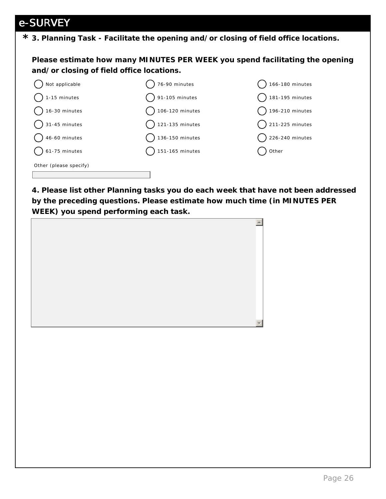### **3. Planning Task - Facilitate the opening and/or closing of field office locations. \***

**Please estimate how many MINUTES PER WEEK you spend facilitating the opening and/or closing of field office locations.**



**4. Please list other Planning tasks you do each week that have not been addressed by the preceding questions. Please estimate how much time (in MINUTES PER WEEK) you spend performing each task.**

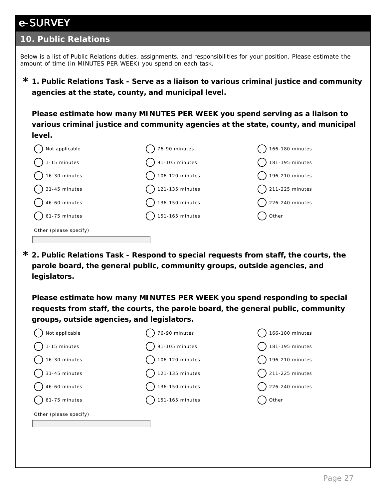#### **10. Public Relations**

Below is a list of Public Relations duties, assignments, and responsibilities for your position. Please estimate the amount of time (in MINUTES PER WEEK) you spend on each task.

**1. Public Relations Task - Serve as a liaison to various criminal justice and community \* agencies at the state, county, and municipal level.**

**Please estimate how many MINUTES PER WEEK you spend serving as a liaison to various criminal justice and community agencies at the state, county, and municipal level.** 

| Not applicable                   | 76-90 minutes             | 166-180 minutes            |
|----------------------------------|---------------------------|----------------------------|
| 1-15 minutes                     | 91-105 minutes            | 181-195 minutes            |
| 16-30 minutes                    | 106-120 minutes           | $\bigcap$ 196-210 minutes  |
| $\bigcirc$ 31-45 minutes         | $\bigcap$ 121-135 minutes | $\bigcap$ 211-225 minutes  |
| $46-60$ minutes                  | $\big)$ 136-150 minutes   | $\bigcirc$ 226-240 minutes |
| $\left($ $\right)$ 61-75 minutes | 151-165 minutes           | Other                      |
| Other (please specify)           |                           |                            |
|                                  |                           |                            |

**2. Public Relations Task - Respond to special requests from staff, the courts, the \* parole board, the general public, community groups, outside agencies, and legislators.**

**Please estimate how many MINUTES PER WEEK you spend responding to special requests from staff, the courts, the parole board, the general public, community groups, outside agencies, and legislators.**

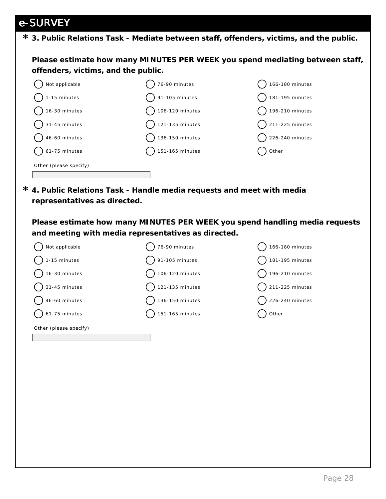**3. Public Relations Task - Mediate between staff, offenders, victims, and the public. \***

**Please estimate how many MINUTES PER WEEK you spend mediating between staff, offenders, victims, and the public.**



**4. Public Relations Task - Handle media requests and meet with media \* representatives as directed.**

**Please estimate how many MINUTES PER WEEK you spend handling media requests and meeting with media representatives as directed.**

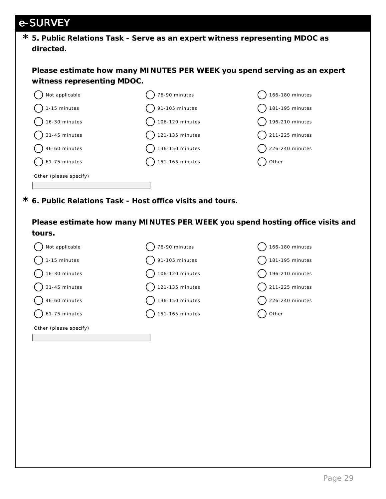|  |           |  |  |  |  | * 5. Public Relations Task - Serve as an expert witness representing MDOC as |
|--|-----------|--|--|--|--|------------------------------------------------------------------------------|
|  | directed. |  |  |  |  |                                                                              |

**Please estimate how many MINUTES PER WEEK you spend serving as an expert witness representing MDOC.**



**6. Public Relations Task - Host office visits and tours. \***

**Please estimate how many MINUTES PER WEEK you spend hosting office visits and tours.**

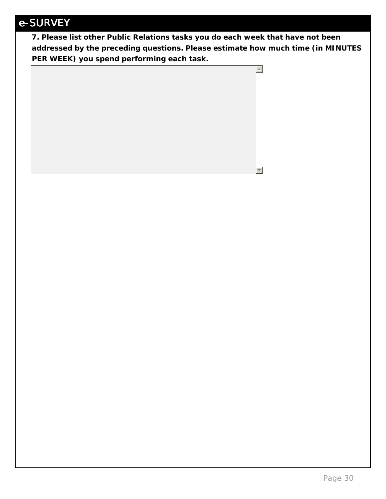**7. Please list other Public Relations tasks you do each week that have not been addressed by the preceding questions. Please estimate how much time (in MINUTES PER WEEK) you spend performing each task.**

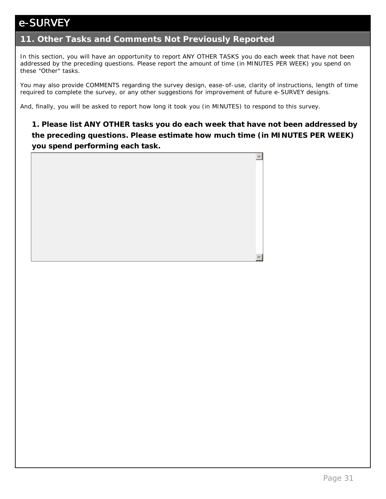### **11. Other Tasks and Comments Not Previously Reported**

In this section, you will have an opportunity to report ANY OTHER TASKS you do each week that have not been addressed by the preceding questions. Please report the amount of time (in MINUTES PER WEEK) you spend on these "Other" tasks.

You may also provide COMMENTS regarding the survey design, ease-of-use, clarity of instructions, length of time required to complete the survey, or any other suggestions for improvement of future e-SURVEY designs.

And, finally, you will be asked to report how long it took you (in MINUTES) to respond to this survey.

**1. Please list ANY OTHER tasks you do each week that have not been addressed by the preceding questions. Please estimate how much time (in MINUTES PER WEEK) you spend performing each task.**

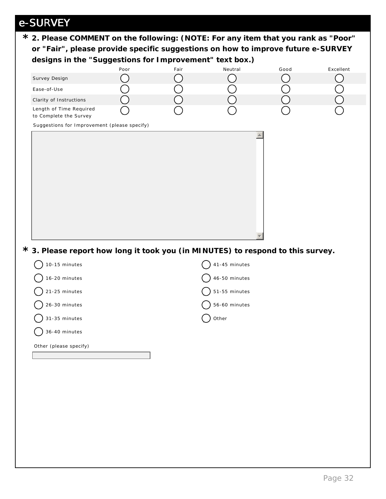| * 2. Please COMMENT on the following: (NOTE: For any item that you rank as "Poor"                                                           |      |      |               |      |           |  |  |
|---------------------------------------------------------------------------------------------------------------------------------------------|------|------|---------------|------|-----------|--|--|
| or "Fair", please provide specific suggestions on how to improve future e-SURVEY<br>designs in the "Suggestions for Improvement" text box.) |      |      |               |      |           |  |  |
|                                                                                                                                             | Poor | Fair | Neutral       | Good | Excellent |  |  |
| Survey Design                                                                                                                               |      |      |               |      |           |  |  |
| Ease-of-Use                                                                                                                                 |      |      |               |      |           |  |  |
| Clarity of Instructions                                                                                                                     |      |      |               |      |           |  |  |
| Length of Time Required<br>to Complete the Survey                                                                                           |      |      |               |      |           |  |  |
| Suggestions for Improvement (please specify)                                                                                                |      |      |               |      |           |  |  |
| * 3. Please report how long it took you (in MINUTES) to respond to this survey.                                                             |      |      |               |      |           |  |  |
| 10-15 minutes                                                                                                                               |      |      | 41-45 minutes |      |           |  |  |
| 16-20 minutes                                                                                                                               |      |      | 46-50 minutes |      |           |  |  |
| 21-25 minutes                                                                                                                               |      |      | 51-55 minutes |      |           |  |  |
| 26-30 minutes                                                                                                                               |      |      | 56-60 minutes |      |           |  |  |
| 31-35 minutes                                                                                                                               |      |      | Other         |      |           |  |  |
| 36-40 minutes                                                                                                                               |      |      |               |      |           |  |  |
| Other (please specify)                                                                                                                      |      |      |               |      |           |  |  |
|                                                                                                                                             |      |      |               |      |           |  |  |
|                                                                                                                                             |      |      |               |      |           |  |  |
|                                                                                                                                             |      |      |               |      |           |  |  |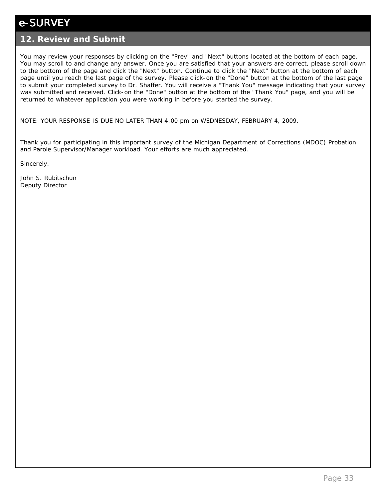#### **12. Review and Submit**

You may review your responses by clicking on the "Prev" and "Next" buttons located at the bottom of each page. You may scroll to and change any answer. Once you are satisfied that your answers are correct, please scroll down to the bottom of the page and click the "Next" button. Continue to click the "Next" button at the bottom of each page until you reach the last page of the survey. Please click-on the "Done" button at the bottom of the last page to submit your completed survey to Dr. Shaffer. You will receive a "Thank You" message indicating that your survey was submitted and received. Click-on the "Done" button at the bottom of the "Thank You" page, and you will be returned to whatever application you were working in before you started the survey.

NOTE: YOUR RESPONSE IS DUE NO LATER THAN 4:00 pm on WEDNESDAY, FEBRUARY 4, 2009.

Thank you for participating in this important survey of the Michigan Department of Corrections (MDOC) Probation and Parole Supervisor/Manager workload. Your efforts are much appreciated.

Sincerely,

John S. Rubitschun Deputy Director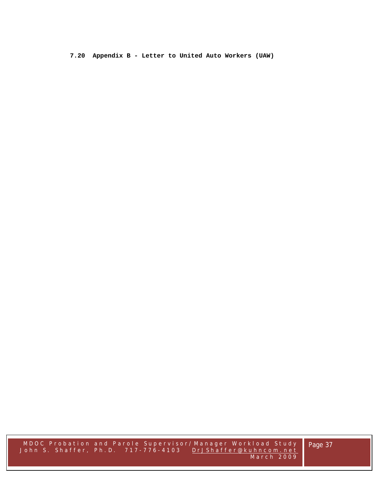**7.20 Appendix B - Letter to United Auto Workers (UAW)** 

MDOC Probation and Parole Supe rvisor/Manager Workload Study John S. Shaffer, Ph.D. 717-776-4103 DrJShaffer@kuhncom.net March 2009

Page 37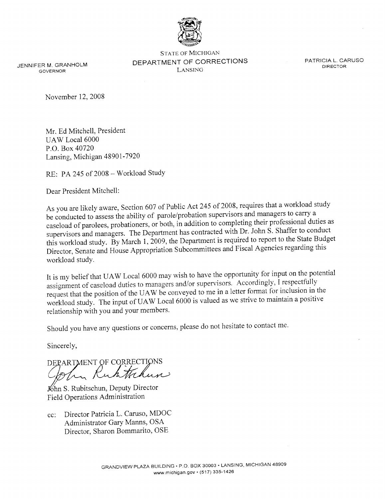

JENNIFER M. GRANHOLM **GOVERNOR** 

**STATE OF MICHIGAN** DEPARTMENT OF CORRECTIONS LANSING

PATRICIA L. CARUSO **DIRECTOR** 

November 12, 2008

Mr. Ed Mitchell, President UAW Local 6000 P.O. Box 40720 Lansing, Michigan 48901-7920

RE: PA 245 of 2008 - Workload Study

Dear President Mitchell:

As you are likely aware, Section 607 of Public Act 245 of 2008, requires that a workload study be conducted to assess the ability of parole/probation supervisors and managers to carry a caseload of parolees, probationers, or both, in addition to completing their professional duties as supervisors and managers. The Department has contracted with Dr. John S. Shaffer to conduct this workload study. By March 1, 2009, the Department is required to report to the State Budget Director, Senate and House Appropriation Subcommittees and Fiscal Agencies regarding this workload study.

It is my belief that UAW Local 6000 may wish to have the opportunity for input on the potential assignment of caseload duties to managers and/or supervisors. Accordingly, I respectfully request that the position of the UAW be conveyed to me in a letter format for inclusion in the workload study. The input of UAW Local 6000 is valued as we strive to maintain a positive relationship with you and your members.

Should you have any questions or concerns, please do not hesitate to contact me.

Sincerely,

DEPARTMENT OF CORRECTIONS

Khn S. Rubitschun, Deputy Director Field Operations Administration

cc: Director Patricia L. Caruso, MDOC Administrator Gary Manns, OSA Director, Sharon Bommarito, OSE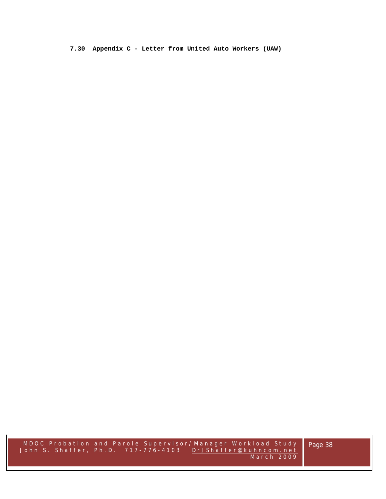**7.30 Appendix C - Letter from United Auto Workers (UAW)**

MDOC Probation and Parole Supe rvisor/Manager Workload Study John S. Shaffer, Ph.D. 717-776-4103 DrJShaffer@kuhncom.net March 2009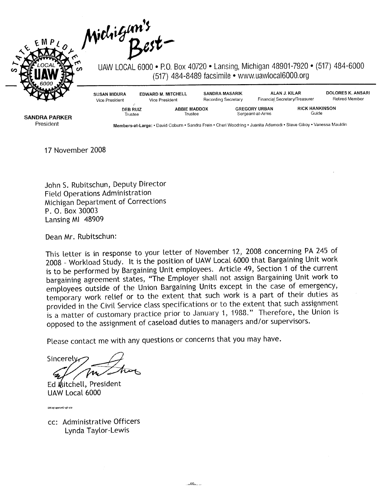Michigan's



UAW LOCAL 6000 • P.O. Box 40720 • Lansing, Michigan 48901-7920 • (517) 484-6000 (517) 484-8489 facsimile • www.uawlocal6000.org

| <b>SUSAN MIDURA</b><br>Vice President | <b>EDWARD M. MITCHELL</b><br>Vice President | <b>SANDRA MASARIK</b><br>Recording Secretary |                                          | ALAN J. KILAR<br>Financial Secretary/Treasurer |                                | DOLORES K. ANSARI<br>Retired Member |
|---------------------------------------|---------------------------------------------|----------------------------------------------|------------------------------------------|------------------------------------------------|--------------------------------|-------------------------------------|
| <b>DEB RUIZ</b><br>Trustee            | <b>ABBIE MADDOX</b><br>Trustee              |                                              | <b>GREGORY URBAN</b><br>Sergeant-at-Arms |                                                | <b>RICK HANKINSON</b><br>Guide |                                     |

**SANDRA PARKER** President

Members-at-Large: • David Coburn • Sandra Frein • Cheri Woodring • Juanita Ademodi • Steve Gilroy • Vanessa Mauldin

17 November 2008

John S. Rubitschun, Deputy Director **Field Operations Administration** Michigan Department of Corrections P. O. Box 30003 Lansing MI 48909

Dean Mr. Rubitschun:

This letter is in response to your letter of November 12, 2008 concerning PA 245 of 2008 - Workload Study. It is the position of UAW Local 6000 that Bargaining Unit work is to be performed by Bargaining Unit employees. Article 49, Section 1 of the current bargaining agreement states, "The Employer shall not assign Bargaining Unit work to employees outside of the Union Bargaining Units except in the case of emergency, temporary work relief or to the extent that such work is a part of their duties as provided in the Civil Service class specifications or to the extent that such assignment is a matter of customary practice prior to January 1, 1988." Therefore, the Union is opposed to the assignment of caseload duties to managers and/or supervisors.

Please contact me with any questions or concerns that you may have.

Sincerely

Ed Mitchell, President UAW Local 6000

EM/el opeiu42-aff-cio

cc: Administrative Officers Lynda Taylor-Lewis